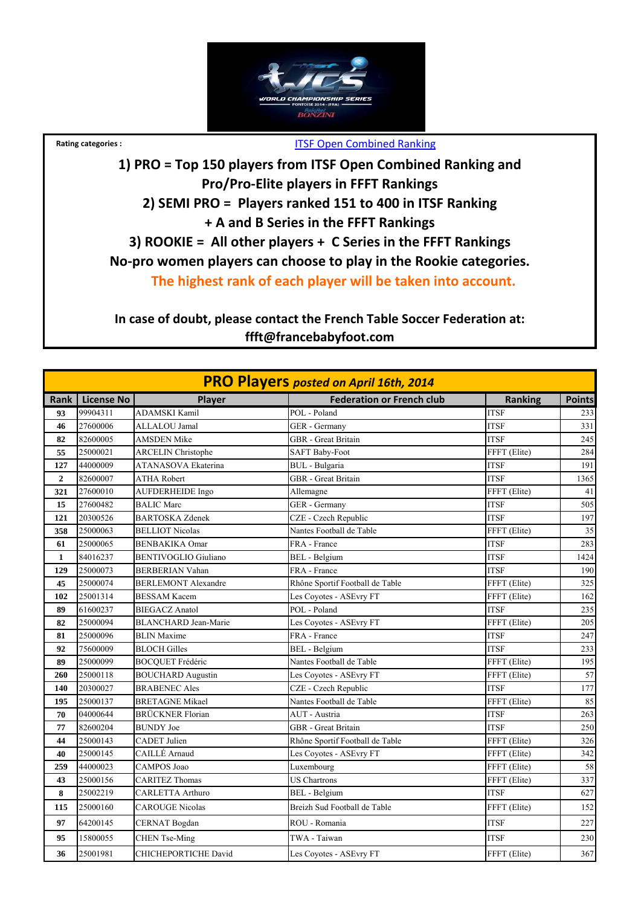

## **Rating categories :** ITSF Open Combined Ranking

**1) PRO = Top 150 players from ITSF Open Combined Ranking and Pro/Pro‐Elite players in FFFT Rankings 2) SEMI PRO = Players ranked 151 to 400 in ITSF Ranking + A and B Series in the FFFT Rankings 3) ROOKIE = All other players + C Series in the FFFT Rankings No‐pro women players can choose to play in the Rookie categories. The highest rank of each player will be taken into account.**

**In case of doubt, please contact the French Table Soccer Federation at: ffft@francebabyfoot.com**

|              |                   |                             | <b>PRO Players posted on April 16th, 2014</b> |                |               |
|--------------|-------------------|-----------------------------|-----------------------------------------------|----------------|---------------|
| Rank         | <b>License No</b> | Player                      | <b>Federation or French club</b>              | <b>Ranking</b> | <b>Points</b> |
| 93           | 99904311          | <b>ADAMSKI Kamil</b>        | POL - Poland                                  | <b>ITSF</b>    | 233           |
| 46           | 27600006          | ALLALOU Jamal               | GER - Germany                                 | <b>ITSF</b>    | 331           |
| 82           | 82600005          | <b>AMSDEN Mike</b>          | <b>GBR</b> - Great Britain                    | <b>ITSF</b>    | 245           |
| 55           | 25000021          | <b>ARCELIN Christophe</b>   | <b>SAFT Baby-Foot</b>                         | FFFT (Elite)   | 284           |
| 127          | 44000009          | <b>ATANASOVA Ekaterina</b>  | <b>BUL</b> - Bulgaria                         | <b>ITSF</b>    | 191           |
| $\mathbf{2}$ | 82600007          | <b>ATHA Robert</b>          | <b>GBR</b> - Great Britain                    | <b>ITSF</b>    | 1365          |
| 321          | 27600010          | AUFDERHEIDE Ingo            | Allemagne                                     | FFFT (Elite)   | 41            |
| 15           | 27600482          | <b>BALIC Marc</b>           | GER - Germany                                 | <b>ITSF</b>    | 505           |
| 121          | 20300526          | <b>BARTOSKA Zdenek</b>      | CZE - Czech Republic                          | <b>ITSF</b>    | 197           |
| 358          | 25000063          | <b>BELLIOT Nicolas</b>      | Nantes Football de Table                      | FFFT (Elite)   | 35            |
| 61           | 25000065          | <b>BENBAKIKA Omar</b>       | FRA - France                                  | <b>ITSF</b>    | 283           |
| $\mathbf{1}$ | 84016237          | <b>BENTIVOGLIO Giuliano</b> | BEL - Belgium                                 | <b>ITSF</b>    | 1424          |
| 129          | 25000073          | <b>BERBERIAN Vahan</b>      | FRA - France                                  | <b>ITSF</b>    | 190           |
| 45           | 25000074          | <b>BERLEMONT Alexandre</b>  | Rhône Sportif Football de Table               | FFFT (Elite)   | 325           |
| 102          | 25001314          | <b>BESSAM Kacem</b>         | Les Coyotes - ASEvry FT                       | FFFT (Elite)   | 162           |
| 89           | 61600237          | <b>BIEGACZ Anatol</b>       | POL - Poland                                  | <b>ITSF</b>    | 235           |
| 82           | 25000094          | <b>BLANCHARD Jean-Marie</b> | Les Coyotes - ASEvry FT                       | FFFT (Elite)   | 205           |
| 81           | 25000096          | <b>BLIN</b> Maxime          | FRA - France                                  | <b>ITSF</b>    | 247           |
| 92           | 75600009          | <b>BLOCH Gilles</b>         | <b>BEL</b> - Belgium                          | <b>ITSF</b>    | 233           |
| 89           | 25000099          | <b>BOCQUET Frédéric</b>     | Nantes Football de Table                      | FFFT (Elite)   | 195           |
| 260          | 25000118          | <b>BOUCHARD Augustin</b>    | Les Coyotes - ASEvry FT                       | FFFT (Elite)   | 57            |
| 140          | 20300027          | <b>BRABENEC Ales</b>        | CZE - Czech Republic                          | <b>ITSF</b>    | 177           |
| 195          | 25000137          | <b>BRETAGNE Mikael</b>      | Nantes Football de Table                      | FFFT (Elite)   | 85            |
| 70           | 04000644          | <b>BRÜCKNER Florian</b>     | AUT - Austria                                 | <b>ITSF</b>    | 263           |
| 77           | 82600204          | <b>BUNDY</b> Joe            | <b>GBR</b> - Great Britain                    | <b>ITSF</b>    | 250           |
| 44           | 25000143          | <b>CADET</b> Julien         | Rhône Sportif Football de Table               | FFFT (Elite)   | 326           |
| 40           | 25000145          | CAILLÉ Arnaud               | Les Coyotes - ASEvry FT                       | FFFT (Elite)   | 342           |
| 259          | 44000023          | CAMPOS Joao                 | Luxembourg                                    | FFFT (Elite)   | 58            |
| 43           | 25000156          | <b>CARITEZ Thomas</b>       | <b>US Chartrons</b>                           | FFFT (Elite)   | 337           |
| 8            | 25002219          | <b>CARLETTA Arthuro</b>     | <b>BEL</b> - Belgium                          | <b>ITSF</b>    | 627           |
| 115          | 25000160          | <b>CAROUGE Nicolas</b>      | Breizh Sud Football de Table                  | FFFT (Elite)   | 152           |
| 97           | 64200145          | CERNAT Bogdan               | ROU - Romania                                 | ITSF           | 227           |
| 95           | 15800055          | <b>CHEN</b> Tse-Ming        | TWA - Taiwan                                  | <b>ITSF</b>    | 230           |
| 36           | 25001981          | <b>CHICHEPORTICHE David</b> | Les Coyotes - ASEvry FT                       | FFFT (Elite)   | 367           |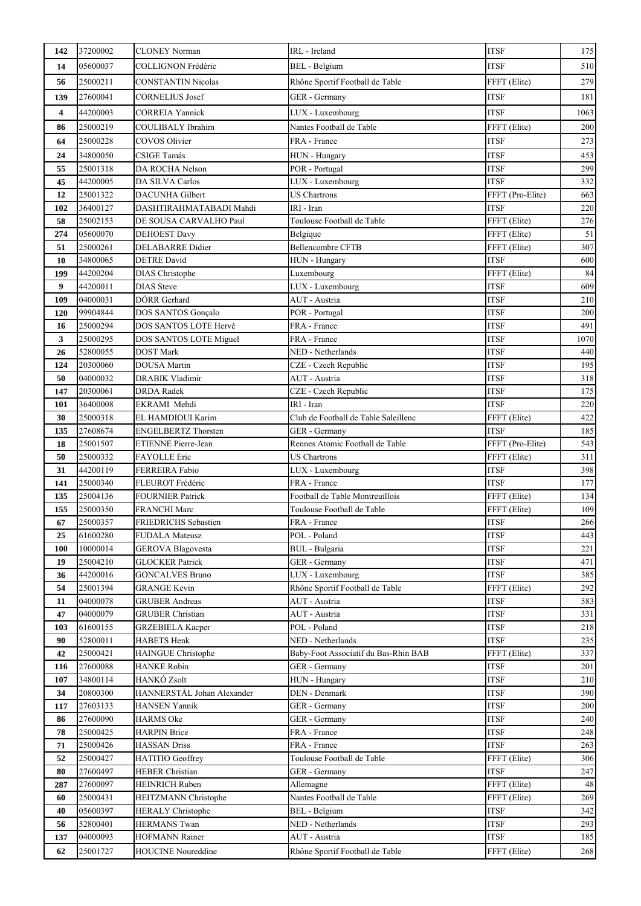| 142       | 37200002             | <b>CLONEY Norman</b>                          | IRL - Ireland                        | <b>ITSF</b>                | 175        |
|-----------|----------------------|-----------------------------------------------|--------------------------------------|----------------------------|------------|
| 14        | 05600037             | <b>COLLIGNON Frédéric</b>                     | BEL - Belgium                        | <b>ITSF</b>                | 510        |
| 56        | 25000211             | <b>CONSTANTIN Nicolas</b>                     | Rhône Sportif Football de Table      | FFFT (Elite)               | 279        |
| 139       | 27600041             | CORNELIUS Josef                               | GER - Germany                        | <b>ITSF</b>                | 181        |
| 4         | 44200003             | <b>CORREIA Yannick</b>                        | LUX - Luxembourg                     | <b>ITSF</b>                | 1063       |
| 86        | 25000219             | COULIBALY Ibrahim                             | Nantes Football de Table             | FFFT (Elite)               | 200        |
| 64        | 25000228             | COVOS Olivier                                 | FRA - France                         | <b>ITSF</b>                | 273        |
| 24        | 34800050             | <b>CSIGE Tamás</b>                            | HUN - Hungary                        | <b>ITSF</b>                | 453        |
| 55        | 25001318             | DA ROCHA Nelson                               | POR - Portugal                       | <b>ITSF</b>                | 299        |
| 45        | 44200005             | DA SILVA Carlos                               | LUX - Luxembourg                     | <b>ITSF</b>                | 332        |
| 12        | 25001322             | <b>DACUNHA Gilbert</b>                        | <b>US Chartrons</b>                  | FFFT (Pro-Elite)           | 663        |
| 102       | 36400127             | DASHTIRAHMATABADI Mahdi                       | IRI - Iran                           | <b>ITSF</b>                | 220        |
| 58        | 25002153             | DE SOUSA CARVALHO Paul                        | Toulouse Football de Table           | FFFT (Elite)               | 276        |
| 274       | 05600070             | <b>DEHOEST Davy</b>                           | Belgique                             | FFFT (Elite)               | 51         |
| 51        | 25000261             | <b>DELABARRE</b> Didier                       | <b>Bellencombre CFTB</b>             | FFFT (Elite)               | 307        |
| 10        | 34800065             | <b>DETRE</b> David                            | HUN - Hungary                        | <b>ITSF</b>                | 600        |
| 199       | 44200204             | <b>DIAS</b> Christophe                        | Luxembourg                           | FFFT (Elite)               | 84         |
| 9         | 44200011             | <b>DIAS</b> Steve                             | LUX - Luxembourg                     | <b>ITSF</b>                | 609        |
| 109       | 04000031             | DÖRR Gerhard                                  | AUT - Austria                        | <b>ITSF</b>                | 210        |
| 120       | 99904844             | DOS SANTOS Gonçalo                            | POR - Portugal                       | <b>ITSF</b>                | 200        |
| 16        | 25000294             | DOS SANTOS LOTE Hervé                         | FRA - France                         | <b>ITSF</b>                | 491        |
| 3         | 25000295             | DOS SANTOS LOTE Miguel                        | FRA - France                         | <b>ITSF</b>                | 1070       |
| 26        | 52800055             | <b>DOST Mark</b>                              | NED - Netherlands                    | <b>ITSF</b>                | 440        |
| 124       | 20300060             | <b>DOUSA</b> Martin                           | CZE - Czech Republic                 | <b>ITSF</b>                | 195        |
| 50        | 04000032             | <b>DRABIK Vladimir</b>                        | AUT - Austria                        | <b>ITSF</b>                | 318        |
| 147       | 20300061<br>36400008 | <b>DRDA Radek</b><br>EKRAMI Mehdi             | CZE - Czech Republic<br>IRI - Iran   | <b>ITSF</b><br><b>ITSF</b> | 175<br>220 |
| 101<br>30 | 25000318             | EL HAMDIOUI Karim                             | Club de Football de Table Saleillenc | FFFT (Elite)               | 422        |
| 135       | 27608674             | <b>ENGELBERTZ Thorsten</b>                    | GER - Germany                        | <b>ITSF</b>                | 185        |
| 18        | 25001507             | ETIENNE Pierre-Jean                           | Rennes Atomic Football de Table      | FFFT (Pro-Elite)           | 543        |
| 50        | 25000332             | <b>FAYOLLE</b> Eric                           | <b>US Chartrons</b>                  | FFFT (Elite)               | 311        |
| 31        | 44200119             | FERREIRA Fabio                                | LUX - Luxembourg                     | <b>ITSF</b>                | 398        |
| 141       | 25000340             | FLEUROT Frédéric                              | FRA - France                         | <b>ITSF</b>                | 177        |
| 135       | 25004136             | <b>FOURNIER Patrick</b>                       | Football de Table Montreuillois      | FFFT (Elite)               | 134        |
| 155       | 25000350             | <b>FRANCHI Marc</b>                           | Toulouse Football de Table           | FFFT (Elite)               | 109        |
| 67        | 25000357             | <b>FRIEDRICHS</b> Sebastien                   | FRA - France                         | <b>ITSF</b>                | 266        |
| 25        | 61600280             | <b>FUDALA Mateusz</b>                         | POL - Poland                         | <b>ITSF</b>                | 443        |
| 100       | 10000014             | <b>GEROVA Blagovesta</b>                      | BUL - Bulgaria                       | <b>ITSF</b>                | 221        |
| 19        | 25004210             | <b>GLOCKER Patrick</b>                        | GER - Germany                        | <b>ITSF</b>                | 471        |
| 36        | 44200016             | <b>GONCALVES Bruno</b>                        | LUX - Luxembourg                     | <b>ITSF</b>                | 385        |
| 54        | 25001394             | <b>GRANGE Kevin</b>                           | Rhône Sportif Football de Table      | FFFT (Elite)               | 292        |
| 11        | 04000078             | <b>GRUBER Andreas</b>                         | AUT - Austria                        | <b>ITSF</b>                | 583        |
| 47        | 04000079             | <b>GRUBER Christian</b>                       | AUT - Austria                        | <b>ITSF</b>                | 331        |
| 103<br>90 | 61600155<br>52800011 | <b>GRZEBIELA Kacper</b><br><b>HABETS Henk</b> | POL - Poland<br>NED - Netherlands    | <b>ITSF</b><br><b>ITSF</b> | 218<br>235 |
| 42        | 25000421             | HAINGUE Christophe                            | Baby-Foot Associatif du Bas-Rhin BAB | FFFT (Elite)               | 337        |
| 116       | 27600088             | <b>HANKE Robin</b>                            | GER - Germany                        | <b>ITSF</b>                | 201        |
| 107       | 34800114             | HANKÓ Zsolt                                   | HUN - Hungary                        | <b>ITSF</b>                | 210        |
| 34        | 20800300             | HANNERSTÅL Johan Alexander                    | DEN - Denmark                        | <b>ITSF</b>                | 390        |
| 117       | 27603133             | <b>HANSEN Yannik</b>                          | GER - Germany                        | <b>ITSF</b>                | 200        |
| 86        | 27600090             | <b>HARMS</b> Oke                              | GER - Germany                        | <b>ITSF</b>                | 240        |
| 78        | 25000425             | <b>HARPIN Brice</b>                           | FRA - France                         | <b>ITSF</b>                | 248        |
| 71        | 25000426             | <b>HASSAN Driss</b>                           | FRA - France                         | <b>ITSF</b>                | 263        |
| 52        | 25000427             | HATITIO Geoffrey                              | Toulouse Football de Table           | FFFT (Elite)               | 306        |
| 80        | 27600497             | <b>HEBER Christian</b>                        | GER - Germany                        | <b>ITSF</b>                | 247        |
| 287       | 27600097             | <b>HEINRICH Ruben</b>                         | Allemagne                            | FFFT (Elite)               | 48         |
| 60        | 25000431             | HEITZMANN Christophe                          | Nantes Football de Table             | FFFT (Elite)               | 269        |
| 40        | 05600397             | <b>HERALY Christophe</b>                      | <b>BEL</b> - Belgium                 | <b>ITSF</b>                | 342        |
| 56        | 52800401             | <b>HERMANS Twan</b>                           | NED - Netherlands                    | <b>ITSF</b>                | 293        |
| 137       | 04000093             | <b>HOFMANN Rainer</b>                         | AUT - Austria                        | <b>ITSF</b>                | 185        |
| 62        | 25001727             | <b>HOUCINE</b> Noureddine                     | Rhône Sportif Football de Table      | FFFT (Elite)               | $268\,$    |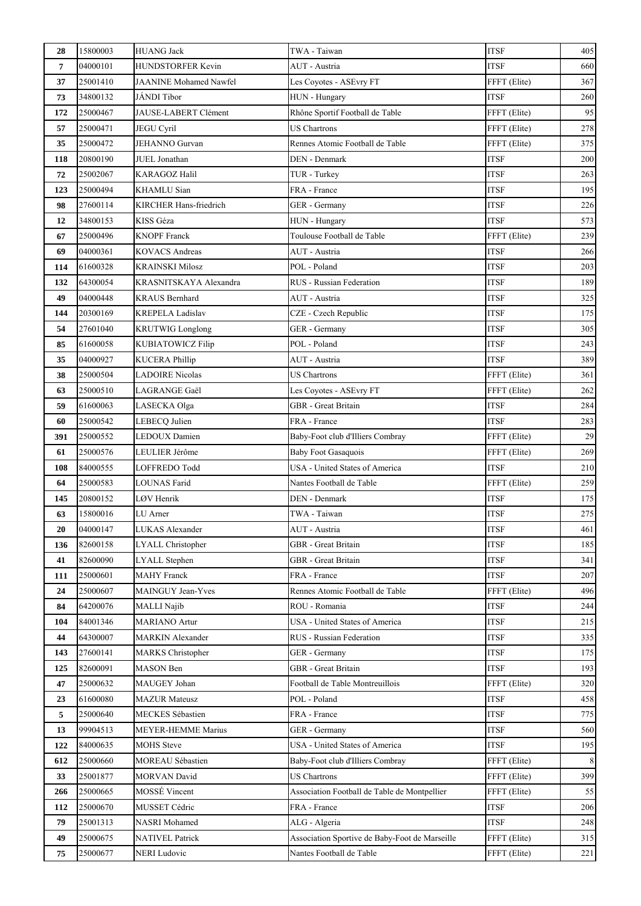| 28  | 15800003 | <b>HUANG Jack</b>             | TWA - Taiwan                                   | <b>ITSF</b>  | 405     |
|-----|----------|-------------------------------|------------------------------------------------|--------------|---------|
| 7   | 04000101 | HUNDSTORFER Kevin             | AUT - Austria                                  | <b>ITSF</b>  | 660     |
| 37  | 25001410 | <b>JAANINE Mohamed Nawfel</b> | Les Coyotes - ASEvry FT                        | FFFT (Elite) | 367     |
| 73  | 34800132 | JÁNDI Tibor                   | HUN - Hungary                                  | <b>ITSF</b>  | 260     |
| 172 | 25000467 | JAUSE-LABERT Clément          | Rhône Sportif Football de Table                | FFFT (Elite) | 95      |
| 57  | 25000471 | <b>JEGU Cyril</b>             | <b>US Chartrons</b>                            | FFFT (Elite) | 278     |
| 35  | 25000472 | JEHANNO Gurvan                | Rennes Atomic Football de Table                | FFFT (Elite) | 375     |
| 118 | 20800190 | JUEL Jonathan                 | DEN - Denmark                                  | <b>ITSF</b>  | 200     |
| 72  | 25002067 | KARAGOZ Halil                 | TUR - Turkey                                   | <b>ITSF</b>  | 263     |
| 123 | 25000494 | <b>KHAMLU</b> Sian            | FRA - France                                   | <b>ITSF</b>  | 195     |
| 98  | 27600114 | KIRCHER Hans-friedrich        | GER - Germany                                  | <b>ITSF</b>  | 226     |
| 12  | 34800153 | KISS Géza                     | HUN - Hungary                                  | <b>ITSF</b>  | 573     |
| 67  | 25000496 | <b>KNOPF</b> Franck           | Toulouse Football de Table                     | FFFT (Elite) | 239     |
| 69  | 04000361 | <b>KOVACS Andreas</b>         | AUT - Austria                                  | <b>ITSF</b>  | 266     |
| 114 | 61600328 | <b>KRAINSKI Milosz</b>        | POL - Poland                                   | <b>ITSF</b>  | 203     |
| 132 | 64300054 | KRASNITSKAYA Alexandra        | RUS - Russian Federation                       | <b>ITSF</b>  | 189     |
| 49  | 04000448 | <b>KRAUS</b> Bernhard         | AUT - Austria                                  | <b>ITSF</b>  | 325     |
| 144 | 20300169 | <b>KREPELA Ladislav</b>       | CZE - Czech Republic                           | <b>ITSF</b>  | 175     |
| 54  | 27601040 | <b>KRUTWIG Longlong</b>       | GER - Germany                                  | <b>ITSF</b>  | 305     |
| 85  | 61600058 | KUBIATOWICZ Filip             | POL - Poland                                   | <b>ITSF</b>  | 243     |
| 35  | 04000927 | <b>KUCERA Phillip</b>         | AUT - Austria                                  | <b>ITSF</b>  | 389     |
| 38  | 25000504 | <b>LADOIRE Nicolas</b>        | <b>US Chartrons</b>                            | FFFT (Elite) | 361     |
| 63  | 25000510 | LAGRANGE Gaël                 | Les Coyotes - ASEvry FT                        | FFFT (Elite) | 262     |
| 59  | 61600063 | LASECKA Olga                  | <b>GBR</b> - Great Britain                     | <b>ITSF</b>  | 284     |
| 60  | 25000542 | LEBECQ Julien                 | FRA - France                                   | <b>ITSF</b>  | 283     |
| 391 | 25000552 | LEDOUX Damien                 | Baby-Foot club d'Illiers Combray               | FFFT (Elite) | 29      |
| 61  | 25000576 | LEULIER Jérôme                | <b>Baby Foot Gasaquois</b>                     | FFFT (Elite) | 269     |
| 108 | 84000555 | LOFFREDO Todd                 | <b>USA</b> - United States of America          | <b>ITSF</b>  | 210     |
| 64  | 25000583 | LOUNAS Farid                  | Nantes Football de Table                       | FFFT (Elite) | 259     |
| 145 | 20800152 | LØV Henrik                    | DEN - Denmark                                  | <b>ITSF</b>  | 175     |
| 63  | 15800016 | LU Arner                      | TWA - Taiwan                                   | <b>ITSF</b>  | 275     |
| 20  | 04000147 | LUKAS Alexander               | AUT - Austria                                  | ITSF         | 461     |
| 136 | 82600158 | <b>LYALL Christopher</b>      | GBR - Great Britain                            | <b>ITSF</b>  | 185     |
| 41  | 82600090 | <b>LYALL</b> Stephen          | <b>GBR</b> - Great Britain                     | <b>ITSF</b>  | 341     |
| 111 | 25000601 | <b>MAHY</b> Franck            | FRA - France                                   | <b>ITSF</b>  | 207     |
| 24  | 25000607 | MAINGUY Jean-Yves             | Rennes Atomic Football de Table                | FFFT (Elite) | 496     |
| 84  | 64200076 | MALLI Najib                   | ROU - Romania                                  | <b>ITSF</b>  | 244     |
| 104 | 84001346 | <b>MARIANO</b> Artur          | USA - United States of America                 | <b>ITSF</b>  | 215     |
| 44  | 64300007 | <b>MARKIN</b> Alexander       | <b>RUS</b> - Russian Federation                | <b>ITSF</b>  | 335     |
| 143 | 27600141 | <b>MARKS</b> Christopher      | GER - Germany                                  | <b>ITSF</b>  | 175     |
| 125 | 82600091 | <b>MASON</b> Ben              | GBR - Great Britain                            | <b>ITSF</b>  | 193     |
| 47  | 25000632 | MAUGEY Johan                  | Football de Table Montreuillois                | FFFT (Elite) | 320     |
| 23  | 61600080 | <b>MAZUR Mateusz</b>          | POL - Poland                                   | <b>ITSF</b>  | 458     |
| 5   | 25000640 | MECKES Sébastien              | FRA - France                                   | <b>ITSF</b>  | 775     |
| 13  | 99904513 | MEYER-HEMME Marius            | GER - Germany                                  | <b>ITSF</b>  | 560     |
| 122 | 84000635 | <b>MOHS</b> Steve             | USA - United States of America                 | <b>ITSF</b>  | 195     |
| 612 | 25000660 | MOREAU Sébastien              | Baby-Foot club d'Illiers Combray               | FFFT (Elite) | 8       |
| 33  | 25001877 | <b>MORVAN David</b>           | <b>US Chartrons</b>                            | FFFT (Elite) | 399     |
| 266 | 25000665 | MOSSÉ Vincent                 | Association Football de Table de Montpellier   | FFFT (Elite) | 55      |
| 112 | 25000670 | MUSSET Cédric                 | FRA - France                                   | ITSF         | 206     |
| 79  | 25001313 | <b>NASRI</b> Mohamed          | ALG - Algeria                                  | <b>ITSF</b>  | 248     |
| 49  | 25000675 | <b>NATIVEL Patrick</b>        | Association Sportive de Baby-Foot de Marseille | FFFT (Elite) | 315     |
| 75  | 25000677 | <b>NERI</b> Ludovic           | Nantes Football de Table                       | FFFT (Elite) | $221\,$ |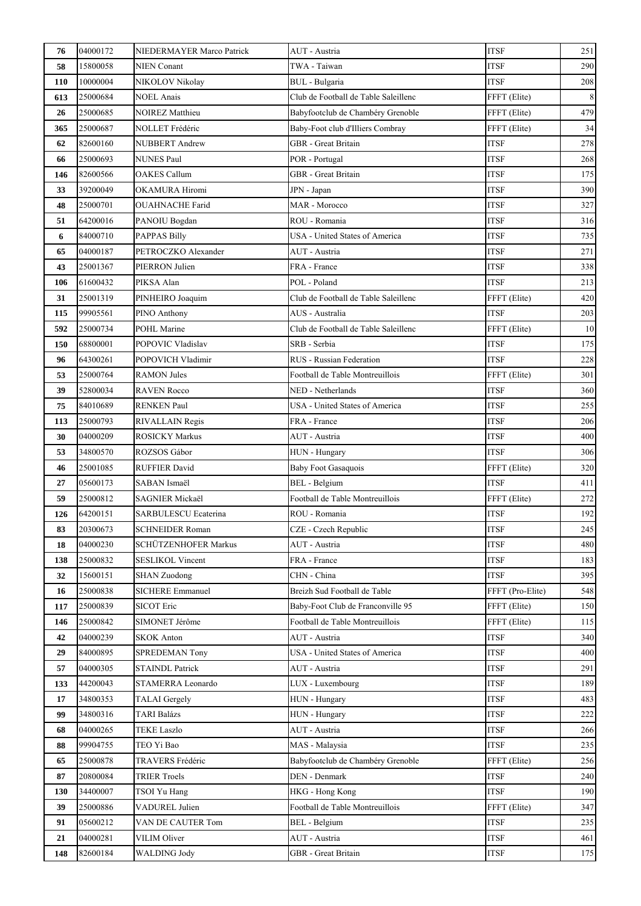| 76  | 04000172 | NIEDERMAYER Marco Patrick   | AUT - Austria                         | <b>ITSF</b>      | 251   |
|-----|----------|-----------------------------|---------------------------------------|------------------|-------|
| 58  | 15800058 | <b>NIEN Conant</b>          | TWA - Taiwan                          | <b>ITSF</b>      | 290   |
| 110 | 10000004 | NIKOLOV Nikolay             | BUL - Bulgaria                        | <b>ITSF</b>      | 208   |
| 613 | 25000684 | <b>NOEL Anais</b>           | Club de Football de Table Saleillenc  | FFFT (Elite)     | $\,8$ |
| 26  | 25000685 | <b>NOIREZ Matthieu</b>      | Babyfootclub de Chambéry Grenoble     | FFFT (Elite)     | 479   |
| 365 | 25000687 | NOLLET Frédéric             | Baby-Foot club d'Illiers Combray      | FFFT (Elite)     | 34    |
| 62  | 82600160 | NUBBERT Andrew              | GBR - Great Britain                   | <b>ITSF</b>      | 278   |
| 66  | 25000693 | <b>NUNES Paul</b>           | POR - Portugal                        | <b>ITSF</b>      | 268   |
| 146 | 82600566 | <b>OAKES Callum</b>         | GBR - Great Britain                   | <b>ITSF</b>      | 175   |
| 33  | 39200049 | OKAMURA Hiromi              | JPN - Japan                           | <b>ITSF</b>      | 390   |
| 48  | 25000701 | <b>OUAHNACHE Farid</b>      | MAR - Morocco                         | <b>ITSF</b>      | 327   |
| 51  | 64200016 | PANOIU Bogdan               | ROU - Romania                         | <b>ITSF</b>      | 316   |
| 6   | 84000710 | <b>PAPPAS Billy</b>         | USA - United States of America        | <b>ITSF</b>      | 735   |
| 65  | 04000187 | PETROCZKO Alexander         | AUT - Austria                         | ITSF             | 271   |
| 43  | 25001367 | PIERRON Julien              | FRA - France                          | <b>ITSF</b>      | 338   |
| 106 | 61600432 | PIKSA Alan                  | POL - Poland                          | <b>ITSF</b>      | 213   |
| 31  | 25001319 | PINHEIRO Joaquim            | Club de Football de Table Saleillenc  | FFFT (Elite)     | 420   |
| 115 | 99905561 | PINO Anthony                | AUS - Australia                       | <b>ITSF</b>      | 203   |
| 592 | 25000734 | POHL Marine                 | Club de Football de Table Saleillenc  | FFFT (Elite)     | 10    |
| 150 | 68800001 | POPOVIC Vladislav           | SRB - Serbia                          | <b>ITSF</b>      | 175   |
| 96  | 64300261 | POPOVICH Vladimir           | RUS - Russian Federation              | <b>ITSF</b>      | 228   |
| 53  | 25000764 | <b>RAMON Jules</b>          | Football de Table Montreuillois       | FFFT (Elite)     | 301   |
| 39  | 52800034 | <b>RAVEN Rocco</b>          | NED - Netherlands                     | <b>ITSF</b>      | 360   |
| 75  | 84010689 | RENKEN Paul                 | USA - United States of America        | <b>ITSF</b>      | 255   |
| 113 | 25000793 | RIVALLAIN Regis             | FRA - France                          | <b>ITSF</b>      | 206   |
| 30  | 04000209 | <b>ROSICKY Markus</b>       | AUT - Austria                         | <b>ITSF</b>      | 400   |
| 53  | 34800570 | ROZSOS Gábor                | HUN - Hungary                         | <b>ITSF</b>      | 306   |
| 46  | 25001085 | <b>RUFFIER David</b>        | <b>Baby Foot Gasaquois</b>            | FFFT (Elite)     | 320   |
| 27  | 05600173 | SABAN Ismaël                | <b>BEL</b> - Belgium                  | <b>ITSF</b>      | 411   |
| 59  | 25000812 | SAGNIER Mickaël             | Football de Table Montreuillois       | FFFT (Elite)     | 272   |
| 126 | 64200151 | <b>SARBULESCU Ecaterina</b> | ROU - Romania                         | <b>ITSF</b>      | 192   |
| 83  | 20300673 | <b>SCHNEIDER Roman</b>      | CZE - Czech Republic                  | <b>ITSF</b>      | 245   |
| 18  | 04000230 | SCHÜTZENHOFER Markus        | AUT - Austria                         | <b>ITSF</b>      | 480   |
| 138 | 25000832 | <b>SESLIKOL Vincent</b>     | FRA - France                          | <b>ITSF</b>      | 183   |
| 32  | 15600151 | <b>SHAN Zuodong</b>         | CHN - China                           | <b>ITSF</b>      | 395   |
| 16  | 25000838 | <b>SICHERE Emmanuel</b>     | Breizh Sud Football de Table          | FFFT (Pro-Elite) | 548   |
| 117 | 25000839 | <b>SICOT Eric</b>           | Baby-Foot Club de Franconville 95     | FFFT (Elite)     | 150   |
| 146 | 25000842 | SIMONET Jérôme              | Football de Table Montreuillois       | FFFT (Elite)     | 115   |
| 42  | 04000239 | <b>SKOK Anton</b>           | AUT - Austria                         | <b>ITSF</b>      | 340   |
| 29  | 84000895 | <b>SPREDEMAN Tony</b>       | <b>USA</b> - United States of America | <b>ITSF</b>      | 400   |
| 57  | 04000305 | <b>STAINDL Patrick</b>      | AUT - Austria                         | <b>ITSF</b>      | 291   |
| 133 | 44200043 | STAMERRA Leonardo           | LUX - Luxembourg                      | <b>ITSF</b>      | 189   |
| 17  | 34800353 | <b>TALAI</b> Gergely        | HUN - Hungary                         | <b>ITSF</b>      | 483   |
| 99  | 34800316 | <b>TARI Balázs</b>          | HUN - Hungary                         | <b>ITSF</b>      | 222   |
| 68  | 04000265 | <b>TEKE Laszlo</b>          | AUT - Austria                         | <b>ITSF</b>      | 266   |
| 88  | 99904755 | TEO Yi Bao                  | MAS - Malaysia                        | <b>ITSF</b>      | 235   |
| 65  | 25000878 | TRAVERS Frédéric            | Babyfootclub de Chambéry Grenoble     | FFFT (Elite)     | 256   |
| 87  | 20800084 | <b>TRIER Troels</b>         | DEN - Denmark                         | <b>ITSF</b>      | 240   |
| 130 | 34400007 | TSOI Yu Hang                | HKG - Hong Kong                       | <b>ITSF</b>      | 190   |
| 39  | 25000886 | VADUREL Julien              | Football de Table Montreuillois       | FFFT (Elite)     | 347   |
| 91  | 05600212 | VAN DE CAUTER Tom           | BEL - Belgium                         | <b>ITSF</b>      | 235   |
| 21  | 04000281 | <b>VILIM Oliver</b>         | AUT - Austria                         | ITSF             | 461   |
| 148 | 82600184 | WALDING Jody                | GBR - Great Britain                   | <b>ITSF</b>      | 175   |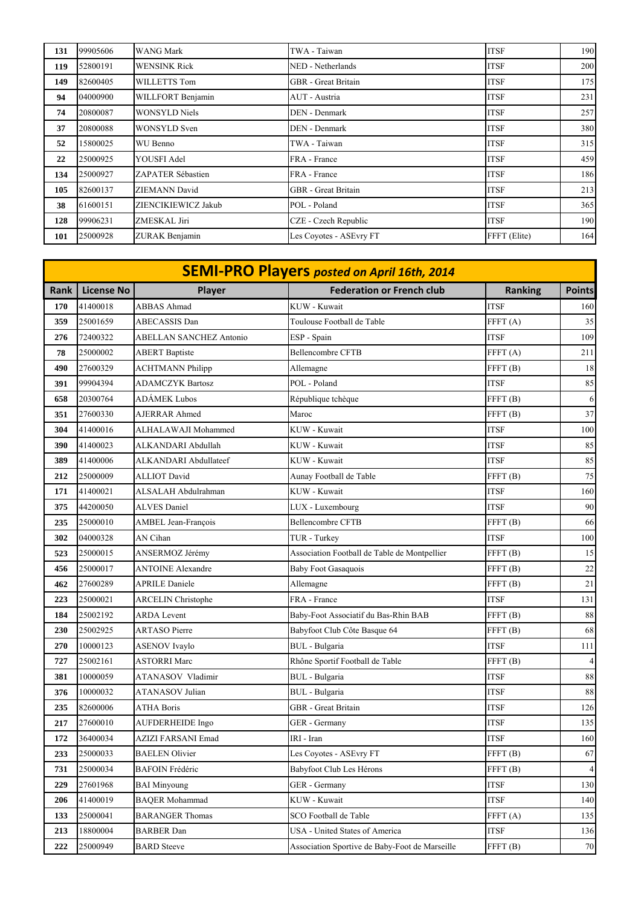| 131 | 99905606 | <b>WANG Mark</b>      | TWA - Taiwan            | <b>ITSF</b>  | 190 |
|-----|----------|-----------------------|-------------------------|--------------|-----|
| 119 | 52800191 | <b>WENSINK Rick</b>   | NED - Netherlands       | <b>ITSF</b>  | 200 |
| 149 | 82600405 | WILLETTS Tom          | GBR - Great Britain     | <b>ITSF</b>  | 175 |
| 94  | 04000900 | WILLFORT Benjamin     | AUT - Austria           | <b>ITSF</b>  | 231 |
| 74  | 20800087 | <b>WONSYLD Niels</b>  | DEN - Denmark           | <b>ITSF</b>  | 257 |
| 37  | 20800088 | <b>WONSYLD Sven</b>   | DEN - Denmark           | <b>ITSF</b>  | 380 |
| 52  | 15800025 | WU Benno              | TWA - Taiwan            | <b>ITSF</b>  | 315 |
| 22  | 25000925 | YOUSFI Adel           | FRA - France            | <b>ITSF</b>  | 459 |
| 134 | 25000927 | ZAPATER Sébastien     | FRA - France            | <b>ITSF</b>  | 186 |
| 105 | 82600137 | <b>ZIEMANN David</b>  | GBR - Great Britain     | <b>ITSF</b>  | 213 |
| 38  | 61600151 | ZIENCIKIEWICZ Jakub   | POL - Poland            | <b>ITSF</b>  | 365 |
| 128 | 99906231 | ZMESKAL Jiri          | CZE - Czech Republic    | <b>ITSF</b>  | 190 |
| 101 | 25000928 | <b>ZURAK Benjamin</b> | Les Coyotes - ASEvry FT | FFFT (Elite) | 164 |

|      | <b>SEMI-PRO Players posted on April 16th, 2014</b> |                                |                                                |                     |                |  |  |
|------|----------------------------------------------------|--------------------------------|------------------------------------------------|---------------------|----------------|--|--|
| Rank | <b>License No</b>                                  | Player                         | <b>Federation or French club</b>               | <b>Ranking</b>      | <b>Points</b>  |  |  |
| 170  | 41400018                                           | <b>ABBAS Ahmad</b>             | KUW - Kuwait                                   | <b>ITSF</b>         | 160            |  |  |
| 359  | 25001659                                           | ABECASSIS Dan                  | Toulouse Football de Table                     | FFFT(A)             | 35             |  |  |
| 276  | 72400322                                           | <b>ABELLAN SANCHEZ Antonio</b> | ESP - Spain                                    | <b>ITSF</b>         | 109            |  |  |
| 78   | 25000002                                           | <b>ABERT Baptiste</b>          | <b>Bellencombre CFTB</b>                       | FFT(A)              | 211            |  |  |
| 490  | 27600329                                           | <b>ACHTMANN Philipp</b>        | Allemagne                                      | FFT(B)              | 18             |  |  |
| 391  | 99904394                                           | <b>ADAMCZYK Bartosz</b>        | POL - Poland                                   | <b>ITSF</b>         | 85             |  |  |
| 658  | 20300764                                           | <b>ADÁMEK Lubos</b>            | République tchèque                             | FFFT(B)             | 6              |  |  |
| 351  | 27600330                                           | <b>AJERRAR Ahmed</b>           | Maroc                                          | FFFT(B)             | 37             |  |  |
| 304  | 41400016                                           | ALHALAWAJI Mohammed            | KUW - Kuwait                                   | <b>ITSF</b>         | 100            |  |  |
| 390  | 41400023                                           | ALKANDARI Abdullah             | KUW - Kuwait                                   | <b>ITSF</b>         | 85             |  |  |
| 389  | 41400006                                           | ALKANDARI Abdullateef          | KUW - Kuwait                                   | <b>ITSF</b>         | 85             |  |  |
| 212  | 25000009                                           | <b>ALLIOT David</b>            | Aunay Football de Table                        | FFFT(B)             | 75             |  |  |
| 171  | 41400021                                           | ALSALAH Abdulrahman            | KUW - Kuwait                                   | <b>ITSF</b>         | 160            |  |  |
| 375  | 44200050                                           | <b>ALVES</b> Daniel            | LUX - Luxembourg                               | <b>ITSF</b>         | 90             |  |  |
| 235  | 25000010                                           | AMBEL Jean-François            | <b>Bellencombre CFTB</b>                       | FFT(B)              | 66             |  |  |
| 302  | 04000328                                           | AN Cihan                       | TUR - Turkey                                   | <b>ITSF</b>         | 100            |  |  |
| 523  | 25000015                                           | ANSERMOZ Jérémy                | Association Football de Table de Montpellier   | FFFT(B)             | 15             |  |  |
| 456  | 25000017                                           | <b>ANTOINE Alexandre</b>       | <b>Baby Foot Gasaquois</b>                     | FFT(B)              | 22             |  |  |
| 462  | 27600289                                           | <b>APRILE Daniele</b>          | Allemagne                                      | FFFT <sub>(B)</sub> | $21\,$         |  |  |
| 223  | 25000021                                           | <b>ARCELIN Christophe</b>      | FRA - France                                   | <b>ITSF</b>         | 131            |  |  |
| 184  | 25002192                                           | <b>ARDA</b> Levent             | Baby-Foot Associatif du Bas-Rhin BAB           | FFFT(B)             | 88             |  |  |
| 230  | 25002925                                           | <b>ARTASO</b> Pierre           | Babyfoot Club Côte Basque 64                   | FFFT <sub>(B)</sub> | 68             |  |  |
| 270  | 10000123                                           | <b>ASENOV</b> Ivaylo           | BUL - Bulgaria                                 | <b>ITSF</b>         | 111            |  |  |
| 727  | 25002161                                           | <b>ASTORRI Marc</b>            | Rhône Sportif Football de Table                | FFFT (B)            | 4              |  |  |
| 381  | 10000059                                           | ATANASOV Vladimir              | BUL - Bulgaria                                 | <b>ITSF</b>         | $88\,$         |  |  |
| 376  | 10000032                                           | <b>ATANASOV Julian</b>         | BUL - Bulgaria                                 | <b>ITSF</b>         | $88\,$         |  |  |
| 235  | 82600006                                           | <b>ATHA Boris</b>              | <b>GBR</b> - Great Britain                     | <b>ITSF</b>         | 126            |  |  |
| 217  | 27600010                                           | <b>AUFDERHEIDE Ingo</b>        | GER - Germany                                  | <b>ITSF</b>         | 135            |  |  |
| 172  | 36400034                                           | AZIZI FARSANI Emad             | IRI - Iran                                     | <b>ITSF</b>         | 160            |  |  |
| 233  | 25000033                                           | <b>BAELEN</b> Olivier          | Les Coyotes - ASEvry FT                        | FFFT <sub>(B)</sub> | 67             |  |  |
| 731  | 25000034                                           | <b>BAFOIN Frédéric</b>         | Babyfoot Club Les Hérons                       | FFFT(B)             | $\overline{4}$ |  |  |
| 229  | 27601968                                           | <b>BAI Minyoung</b>            | GER - Germany                                  | <b>ITSF</b>         | 130            |  |  |
| 206  | 41400019                                           | <b>BAQER Mohammad</b>          | KUW - Kuwait                                   | <b>ITSF</b>         | 140            |  |  |
| 133  | 25000041                                           | <b>BARANGER Thomas</b>         | SCO Football de Table                          | FFT(A)              | 135            |  |  |
| 213  | 18800004                                           | <b>BARBER Dan</b>              | USA - United States of America                 | <b>ITSF</b>         | 136            |  |  |
| 222  | 25000949                                           | <b>BARD</b> Steeve             | Association Sportive de Baby-Foot de Marseille | FFFT <sub>(B)</sub> | $70\,$         |  |  |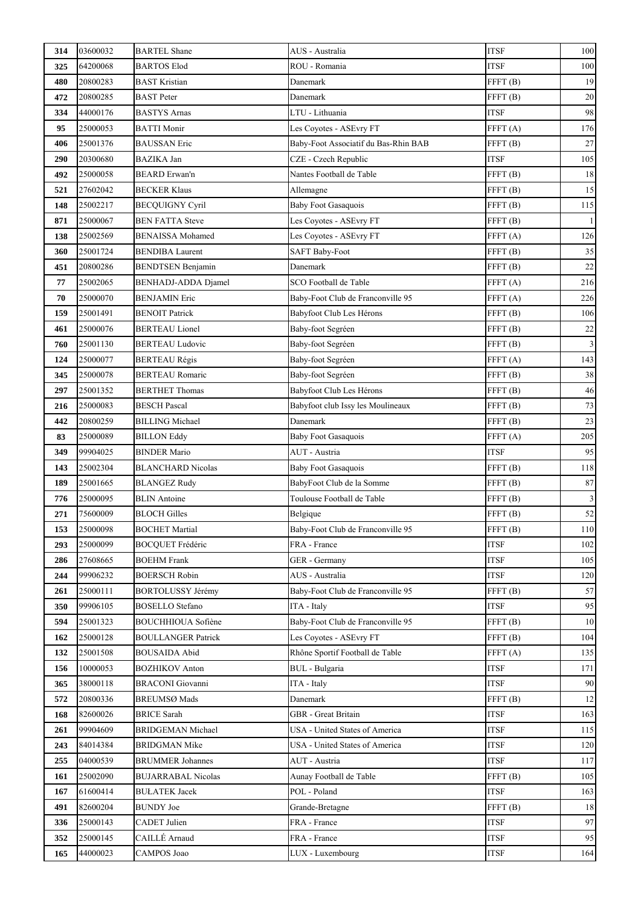| 314 | 03600032 | <b>BARTEL Shane</b>        | AUS - Australia                      | <b>ITSF</b>         | 100            |
|-----|----------|----------------------------|--------------------------------------|---------------------|----------------|
| 325 | 64200068 | <b>BARTOS Elod</b>         | ROU - Romania                        | <b>ITSF</b>         | 100            |
| 480 | 20800283 | <b>BAST Kristian</b>       | Danemark                             | FFFT <sub>(B)</sub> | 19             |
| 472 | 20800285 | <b>BAST</b> Peter          | Danemark                             | FFFT <sub>(B)</sub> | $20\,$         |
| 334 | 44000176 | <b>BASTYS Arnas</b>        | LTU - Lithuania                      | <b>ITSF</b>         | 98             |
| 95  | 25000053 | <b>BATTI Monir</b>         | Les Coyotes - ASEvry FT              | FFFT(A)             | 176            |
| 406 | 25001376 | <b>BAUSSAN Eric</b>        | Baby-Foot Associatif du Bas-Rhin BAB | FFFT(B)             | $27\,$         |
| 290 | 20300680 | <b>BAZIKA Jan</b>          | CZE - Czech Republic                 | <b>ITSF</b>         | 105            |
| 492 | 25000058 | <b>BEARD</b> Erwan'n       | Nantes Football de Table             | FFFT <sub>(B)</sub> | $18\,$         |
| 521 | 27602042 | <b>BECKER Klaus</b>        | Allemagne                            | FFFT(B)             | 15             |
| 148 | 25002217 | <b>BECQUIGNY Cyril</b>     | <b>Baby Foot Gasaquois</b>           | FFFT(B)             | 115            |
| 871 | 25000067 | <b>BEN FATTA Steve</b>     | Les Coyotes - ASEvry FT              | FFFT (B)            |                |
| 138 | 25002569 | <b>BENAISSA</b> Mohamed    | Les Coyotes - ASEvry FT              | FFFT(A)             | 126            |
| 360 | 25001724 | <b>BENDIBA Laurent</b>     | <b>SAFT Baby-Foot</b>                | FFFT <sub>(B)</sub> | 35             |
| 451 | 20800286 | <b>BENDTSEN Benjamin</b>   | Danemark                             | FFT(B)              | $22\,$         |
| 77  | 25002065 | <b>BENHADJ-ADDA Djamel</b> | SCO Football de Table                | FFT(A)              | 216            |
| 70  | 25000070 | <b>BENJAMIN Eric</b>       | Baby-Foot Club de Franconville 95    | FFT(A)              | 226            |
| 159 | 25001491 | <b>BENOIT Patrick</b>      | Babyfoot Club Les Hérons             | FFFT <sub>(B)</sub> | 106            |
| 461 | 25000076 | <b>BERTEAU</b> Lionel      | Baby-foot Segréen                    | FFFT <sub>(B)</sub> | $22\,$         |
| 760 | 25001130 | <b>BERTEAU Ludovic</b>     | Baby-foot Segréen                    | FFFT <sub>(B)</sub> | $\mathfrak{Z}$ |
| 124 | 25000077 | <b>BERTEAU Régis</b>       | Baby-foot Segréen                    | FFFT(A)             | 143            |
| 345 | 25000078 | <b>BERTEAU Romaric</b>     | Baby-foot Segréen                    | FFFT <sub>(B)</sub> | 38             |
| 297 | 25001352 | <b>BERTHET Thomas</b>      | Babyfoot Club Les Hérons             | FFFT(B)             | 46             |
| 216 | 25000083 | <b>BESCH Pascal</b>        | Babyfoot club Issy les Moulineaux    | FFFT(B)             | $73\,$         |
| 442 | 20800259 | <b>BILLING Michael</b>     | Danemark                             | FFT(B)              | 23             |
| 83  | 25000089 | <b>BILLON Eddy</b>         | <b>Baby Foot Gasaquois</b>           | FFT(A)              | 205            |
| 349 | 99904025 | <b>BINDER Mario</b>        | AUT - Austria                        | <b>ITSF</b>         | 95             |
| 143 | 25002304 | <b>BLANCHARD Nicolas</b>   | <b>Baby Foot Gasaquois</b>           | FFFT(B)             | 118            |
| 189 | 25001665 | <b>BLANGEZ Rudy</b>        | BabyFoot Club de la Somme            | FFFT <sub>(B)</sub> | 87             |
| 776 | 25000095 | <b>BLIN</b> Antoine        | Toulouse Football de Table           | FFFT(B)             | $\mathfrak{Z}$ |
| 271 | 75600009 | <b>BLOCH Gilles</b>        | Belgique                             | FFFT(B)             | 52             |
| 153 | 25000098 | <b>BOCHET Martial</b>      | Baby-Foot Club de Franconville 95    | FFFT <sub>(B)</sub> | $110\,$        |
| 293 | 25000099 | <b>BOCQUET Frédéric</b>    | FRA - France                         | <b>ITSF</b>         | 102            |
| 286 | 27608665 | <b>BOEHM Frank</b>         | GER - Germany                        | <b>ITSF</b>         | 105            |
| 244 | 99906232 | <b>BOERSCH Robin</b>       | AUS - Australia                      | <b>ITSF</b>         | 120            |
| 261 | 25000111 | <b>BORTOLUSSY Jérémy</b>   | Baby-Foot Club de Franconville 95    | FFFT <sub>(B)</sub> | 57             |
| 350 | 99906105 | <b>BOSELLO</b> Stefano     | ITA - Italy                          | <b>ITSF</b>         | 95             |
| 594 | 25001323 | <b>BOUCHHIOUA Sofiène</b>  | Baby-Foot Club de Franconville 95    | FFFT(B)             | 10             |
| 162 | 25000128 | <b>BOULLANGER Patrick</b>  | Les Coyotes - ASEvry FT              | FFT(B)              | 104            |
| 132 | 25001508 | <b>BOUSAIDA Abid</b>       | Rhône Sportif Football de Table      | FFT(A)              | 135            |
| 156 | 10000053 | <b>BOZHIKOV Anton</b>      | <b>BUL</b> - Bulgaria                | <b>ITSF</b>         | 171            |
| 365 | 38000118 | <b>BRACONI</b> Giovanni    | ITA - Italy                          | <b>ITSF</b>         | 90             |
| 572 | 20800336 | <b>BREUMSØ Mads</b>        | Danemark                             | FFT(B)              | 12             |
| 168 | 82600026 | <b>BRICE Sarah</b>         | <b>GBR</b> - Great Britain           | <b>ITSF</b>         | 163            |
| 261 | 99904609 | <b>BRIDGEMAN Michael</b>   | USA - United States of America       | <b>ITSF</b>         | 115            |
| 243 | 84014384 | <b>BRIDGMAN Mike</b>       | USA - United States of America       | <b>ITSF</b>         | 120            |
| 255 | 04000539 | <b>BRUMMER Johannes</b>    | AUT - Austria                        | <b>ITSF</b>         | 117            |
| 161 | 25002090 | <b>BUJARRABAL Nicolas</b>  | Aunay Football de Table              | FFFT(B)             | 105            |
| 167 | 61600414 | <b>BUŁATEK Jacek</b>       | POL - Poland                         | <b>ITSF</b>         | 163            |
| 491 | 82600204 | <b>BUNDY</b> Joe           | Grande-Bretagne                      | FFFT(B)             | 18             |
| 336 | 25000143 | <b>CADET</b> Julien        | FRA - France                         | <b>ITSF</b>         | 97             |
| 352 | 25000145 | CAILLÉ Arnaud              | FRA - France                         | <b>ITSF</b>         | 95             |
| 165 | 44000023 | CAMPOS Joao                | LUX - Luxembourg                     | <b>ITSF</b>         | 164            |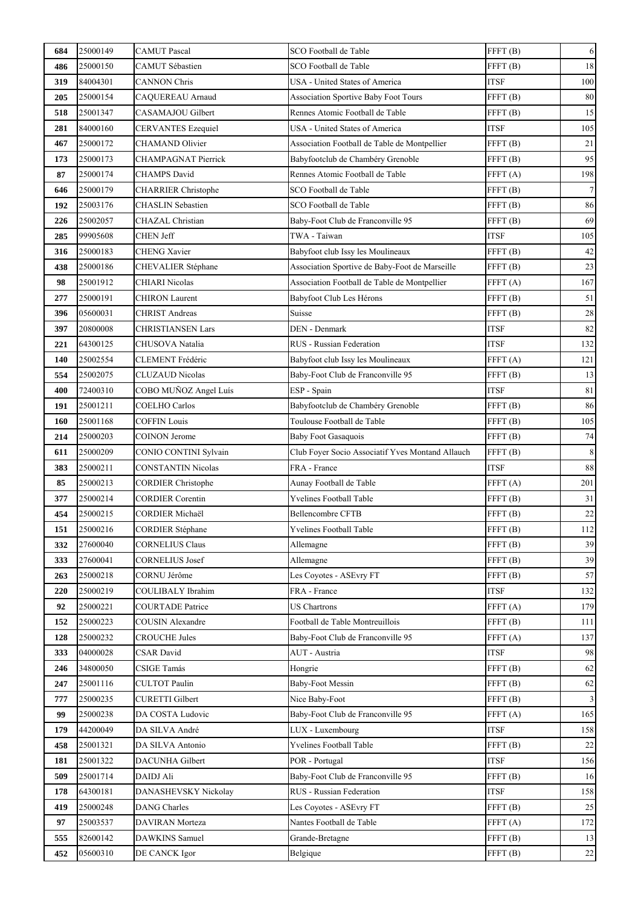| 684 | 25000149 | <b>CAMUT</b> Pascal        | SCO Football de Table                            | FFFT <sub>(B)</sub> | $\sqrt{6}$              |
|-----|----------|----------------------------|--------------------------------------------------|---------------------|-------------------------|
| 486 | 25000150 | CAMUT Sébastien            | SCO Football de Table                            | FFFT <sub>(B)</sub> | 18                      |
| 319 | 84004301 | <b>CANNON Chris</b>        | USA - United States of America                   | <b>ITSF</b>         | 100                     |
| 205 | 25000154 | CAQUEREAU Arnaud           | Association Sportive Baby Foot Tours             | FFFT(B)             | 80                      |
| 518 | 25001347 | CASAMAJOU Gilbert          | Rennes Atomic Football de Table                  | FFFT <sub>(B)</sub> | 15                      |
| 281 | 84000160 | <b>CERVANTES Ezequiel</b>  | USA - United States of America                   | <b>ITSF</b>         | 105                     |
| 467 | 25000172 | <b>CHAMAND Olivier</b>     | Association Football de Table de Montpellier     | FFFT <sub>(B)</sub> | 21                      |
| 173 | 25000173 | CHAMPAGNAT Pierrick        | Babyfootclub de Chambéry Grenoble                | FFFT <sub>(B)</sub> | 95                      |
| 87  | 25000174 | <b>CHAMPS David</b>        | Rennes Atomic Football de Table                  | FFFT(A)             | 198                     |
| 646 | 25000179 | <b>CHARRIER Christophe</b> | SCO Football de Table                            | FFFT <sub>(B)</sub> | $7\overline{}$          |
| 192 | 25003176 | <b>CHASLIN</b> Sebastien   | SCO Football de Table                            | FFFT(B)             | 86                      |
| 226 | 25002057 | CHAZAL Christian           | Baby-Foot Club de Franconville 95                | FFFT <sub>(B)</sub> | 69                      |
| 285 | 99905608 | <b>CHEN Jeff</b>           | TWA - Taiwan                                     | <b>ITSF</b>         | 105                     |
| 316 | 25000183 | <b>CHENG Xavier</b>        | Babyfoot club Issy les Moulineaux                | FFFT (B)            | 42                      |
| 438 | 25000186 | CHEVALIER Stéphane         | Association Sportive de Baby-Foot de Marseille   | FFFT(B)             | 23                      |
| 98  | 25001912 | CHIARI Nicolas             | Association Football de Table de Montpellier     | FFFT(A)             | 167                     |
| 277 | 25000191 | <b>CHIRON</b> Laurent      | Babyfoot Club Les Hérons                         | FFFT <sub>(B)</sub> | 51                      |
| 396 | 05600031 | <b>CHRIST Andreas</b>      | Suisse                                           | FFT(B)              | $28\,$                  |
| 397 | 20800008 | <b>CHRISTIANSEN Lars</b>   | DEN - Denmark                                    | <b>ITSF</b>         | 82                      |
| 221 | 64300125 | CHUSOVA Natalia            | RUS - Russian Federation                         | <b>ITSF</b>         | 132                     |
| 140 | 25002554 | CLEMENT Frédéric           | Babyfoot club Issy les Moulineaux                | FFFT(A)             | 121                     |
| 554 | 25002075 | <b>CLUZAUD Nicolas</b>     | Baby-Foot Club de Franconville 95                | FFFT(B)             | 13                      |
| 400 | 72400310 | COBO MUÑOZ Angel Luís      | ESP - Spain                                      | <b>ITSF</b>         | 81                      |
| 191 | 25001211 | <b>COELHO</b> Carlos       | Babyfootclub de Chambéry Grenoble                | FFFT(B)             | 86                      |
| 160 | 25001168 | <b>COFFIN Louis</b>        | Toulouse Football de Table                       | FFT(B)              | 105                     |
| 214 | 25000203 | <b>COINON Jerome</b>       | <b>Baby Foot Gasaquois</b>                       | FFFT <sub>(B)</sub> | 74                      |
| 611 | 25000209 | CONIO CONTINI Sylvain      | Club Foyer Socio Associatif Yves Montand Allauch | FFFT(B)             | $\,8\,$                 |
| 383 | 25000211 | <b>CONSTANTIN Nicolas</b>  | FRA - France                                     | <b>ITSF</b>         | 88                      |
| 85  | 25000213 | <b>CORDIER Christophe</b>  | Aunay Football de Table                          | FFFT(A)             | 201                     |
| 377 | 25000214 | <b>CORDIER Corentin</b>    | Yvelines Football Table                          | FFFT(B)             | $31\,$                  |
| 454 | 25000215 | <b>CORDIER Michaël</b>     | <b>Bellencombre CFTB</b>                         | FFT(B)              | $22\,$                  |
| 151 | 25000216 | <b>CORDIER Stéphane</b>    | Yvelines Football Table                          | FFFT (B)            | 112                     |
| 332 | 27600040 | <b>CORNELIUS Claus</b>     | Allemagne                                        | FFFT(B)             | 39                      |
| 333 | 27600041 | <b>CORNELIUS Josef</b>     | Allemagne                                        | FFT(B)              | 39                      |
| 263 | 25000218 | CORNU Jérôme               | Les Coyotes - ASEvry FT                          | FFFT <sub>(B)</sub> | 57                      |
| 220 | 25000219 | <b>COULIBALY</b> Ibrahim   | FRA - France                                     | <b>ITSF</b>         | 132                     |
| 92  | 25000221 | <b>COURTADE Patrice</b>    | <b>US Chartrons</b>                              | FFT(A)              | 179                     |
| 152 | 25000223 | <b>COUSIN Alexandre</b>    | Football de Table Montreuillois                  | FFT(B)              | 111                     |
| 128 | 25000232 | <b>CROUCHE Jules</b>       | Baby-Foot Club de Franconville 95                | FFT(A)              | 137                     |
| 333 | 04000028 | <b>CSAR</b> David          | AUT - Austria                                    | <b>ITSF</b>         | 98                      |
| 246 | 34800050 | <b>CSIGE Tamás</b>         | Hongrie                                          | FFT(B)              | 62                      |
| 247 | 25001116 | <b>CULTOT Paulin</b>       | <b>Baby-Foot Messin</b>                          | FFT(B)              | 62                      |
| 777 | 25000235 | <b>CURETTI Gilbert</b>     | Nice Baby-Foot                                   | FFT(B)              | $\overline{\mathbf{3}}$ |
| 99  | 25000238 | DA COSTA Ludovic           | Baby-Foot Club de Franconville 95                | FFT(A)              | 165                     |
| 179 | 44200049 | DA SILVA André             | LUX - Luxembourg                                 | <b>ITSF</b>         | 158                     |
| 458 | 25001321 | DA SILVA Antonio           | Yvelines Football Table                          | FFT(B)              | 22                      |
| 181 | 25001322 | DACUNHA Gilbert            | POR - Portugal                                   | <b>ITSF</b>         | 156                     |
| 509 | 25001714 | DAIDJ Ali                  | Baby-Foot Club de Franconville 95                | FFT(B)              | 16                      |
| 178 | 64300181 | DANASHEVSKY Nickolay       | RUS - Russian Federation                         | <b>ITSF</b>         | 158                     |
| 419 | 25000248 | <b>DANG</b> Charles        | Les Coyotes - ASEvry FT                          | FFT(B)              | 25                      |
| 97  | 25003537 | DAVIRAN Morteza            | Nantes Football de Table                         | FFT(A)              | 172                     |
| 555 | 82600142 | DAWKINS Samuel             | Grande-Bretagne                                  | FFT(B)              | 13                      |
| 452 | 05600310 | DE CANCK Igor              | Belgique                                         | FFT(B)              | $22\,$                  |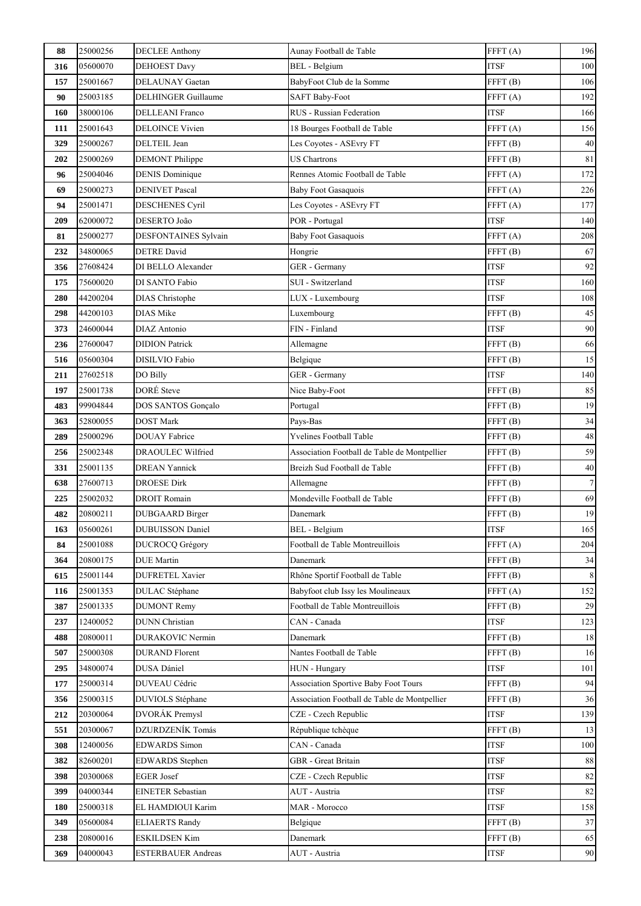| 88  | 25000256 | <b>DECLEE Anthony</b>     | Aunay Football de Table                      | FFFT(A)             | 196              |
|-----|----------|---------------------------|----------------------------------------------|---------------------|------------------|
| 316 | 05600070 | <b>DEHOEST Davy</b>       | <b>BEL</b> - Belgium                         | <b>ITSF</b>         | 100              |
| 157 | 25001667 | DELAUNAY Gaetan           | BabyFoot Club de la Somme                    | FFFT <sub>(B)</sub> | 106              |
| 90  | 25003185 | DELHINGER Guillaume       | <b>SAFT Baby-Foot</b>                        | FFFT(A)             | 192              |
| 160 | 38000106 | <b>DELLEANI</b> Franco    | RUS - Russian Federation                     | <b>ITSF</b>         | 166              |
| 111 | 25001643 | <b>DELOINCE Vivien</b>    | 18 Bourges Football de Table                 | FFFT(A)             | 156              |
| 329 | 25000267 | DELTEIL Jean              | Les Coyotes - ASEvry FT                      | FFT(B)              | 40               |
| 202 | 25000269 | <b>DEMONT</b> Philippe    | <b>US Chartrons</b>                          | FFT(B)              | 81               |
| 96  | 25004046 | <b>DENIS Dominique</b>    | Rennes Atomic Football de Table              | FFFT(A)             | 172              |
| 69  | 25000273 | <b>DENIVET Pascal</b>     | <b>Baby Foot Gasaquois</b>                   | FFFT(A)             | 226              |
| 94  | 25001471 | <b>DESCHENES Cyril</b>    | Les Coyotes - ASEvry FT                      | FFFT(A)             | 177              |
| 209 | 62000072 | DESERTO João              | POR - Portugal                               | <b>ITSF</b>         | 140              |
| 81  | 25000277 | DESFONTAINES Sylvain      | <b>Baby Foot Gasaquois</b>                   | FFFT(A)             | 208              |
| 232 | 34800065 | <b>DETRE</b> David        | Hongrie                                      | FFFT <sub>(B)</sub> | 67               |
| 356 | 27608424 | DI BELLO Alexander        | GER - Germany                                | <b>ITSF</b>         | 92               |
| 175 | 75600020 | DI SANTO Fabio            | SUI - Switzerland                            | <b>ITSF</b>         | 160              |
| 280 | 44200204 | <b>DIAS</b> Christophe    | LUX - Luxembourg                             | <b>ITSF</b>         | 108              |
| 298 | 44200103 | <b>DIAS</b> Mike          | Luxembourg                                   | FFFT <sub>(B)</sub> | $45\,$           |
| 373 | 24600044 | DIAZ Antonio              | FIN - Finland                                | <b>ITSF</b>         | 90               |
| 236 | 27600047 | <b>DIDION Patrick</b>     | Allemagne                                    | FFT(B)              | 66               |
| 516 | 05600304 | DISILVIO Fabio            | Belgique                                     | FFT(B)              | 15               |
| 211 | 27602518 | DO Billy                  | GER - Germany                                | <b>ITSF</b>         | 140              |
| 197 | 25001738 | DORÉ Steve                | Nice Baby-Foot                               | FFFT <sub>(B)</sub> | 85               |
| 483 | 99904844 | DOS SANTOS Gonçalo        | Portugal                                     | FFFT <sub>(B)</sub> | 19               |
| 363 | 52800055 | <b>DOST Mark</b>          | Pays-Bas                                     | FFFT <sub>(B)</sub> | 34               |
| 289 | 25000296 | <b>DOUAY</b> Fabrice      | Yvelines Football Table                      | FFFT <sub>(B)</sub> | 48               |
| 256 | 25002348 | <b>DRAOULEC</b> Wilfried  | Association Football de Table de Montpellier | FFFT(B)             | 59               |
| 331 | 25001135 | <b>DREAN Yannick</b>      | Breizh Sud Football de Table                 | FFFT <sub>(B)</sub> | $40\,$           |
| 638 | 27600713 | <b>DROESE Dirk</b>        | Allemagne                                    | FFFT(B)             | $\boldsymbol{7}$ |
| 225 | 25002032 | <b>DROIT Romain</b>       | Mondeville Football de Table                 | FFFT <sub>(B)</sub> | 69               |
| 482 | 20800211 | DUBGAARD Birger           | Danemark                                     | FFT(B)              | 19               |
| 163 | 05600261 | <b>DUBUISSON Daniel</b>   | BEL - Belgium                                | ITSF                | 165              |
| 84  | 25001088 | <b>DUCROCQ Grégory</b>    | Football de Table Montreuillois              | FFFT(A)             | 204              |
| 364 | 20800175 | <b>DUE</b> Martin         | Danemark                                     | FFFT <sub>(B)</sub> | 34               |
| 615 | 25001144 | <b>DUFRETEL Xavier</b>    | Rhône Sportif Football de Table              | FFFT(B)             | 8                |
| 116 | 25001353 | <b>DULAC</b> Stéphane     | Babyfoot club Issy les Moulineaux            | FFFT(A)             | 152              |
| 387 | 25001335 | <b>DUMONT Remy</b>        | Football de Table Montreuillois              | FFFT <sub>(B)</sub> | 29               |
| 237 | 12400052 | <b>DUNN</b> Christian     | CAN - Canada                                 | <b>ITSF</b>         | 123              |
| 488 | 20800011 | <b>DURAKOVIC Nermin</b>   | Danemark                                     | FFFT <sub>(B)</sub> | 18               |
| 507 | 25000308 | <b>DURAND</b> Florent     | Nantes Football de Table                     | FFT(B)              | 16               |
| 295 | 34800074 | DUSA Dániel               | HUN - Hungary                                | <b>ITSF</b>         | 101              |
| 177 | 25000314 | <b>DUVEAU Cédric</b>      | Association Sportive Baby Foot Tours         | FFFT(B)             | 94               |
| 356 | 25000315 | DUVIOLS Stéphane          | Association Football de Table de Montpellier | FFFT(B)             | 36               |
| 212 | 20300064 | DVORÁK Premysl            | CZE - Czech Republic                         | <b>ITSF</b>         | 139              |
| 551 | 20300067 | DZURDZENÍK Tomás          | République tchèque                           | FFFT(B)             | 13               |
| 308 | 12400056 | <b>EDWARDS</b> Simon      | CAN - Canada                                 | <b>ITSF</b>         | 100              |
| 382 | 82600201 | EDWARDS Stephen           | GBR - Great Britain                          | <b>ITSF</b>         | 88               |
| 398 | 20300068 | <b>EGER Josef</b>         | CZE - Czech Republic                         | <b>ITSF</b>         | 82               |
| 399 | 04000344 | <b>EINETER Sebastian</b>  | AUT - Austria                                | <b>ITSF</b>         | 82               |
| 180 | 25000318 | EL HAMDIOUI Karim         | MAR - Morocco                                | <b>ITSF</b>         | 158              |
| 349 | 05600084 | <b>ELIAERTS Randy</b>     | Belgique                                     | FFFT <sub>(B)</sub> | 37               |
| 238 | 20800016 | <b>ESKILDSEN Kim</b>      | Danemark                                     | FFT(B)              | 65               |
| 369 | 04000043 | <b>ESTERBAUER Andreas</b> | AUT - Austria                                | <b>ITSF</b>         | 90               |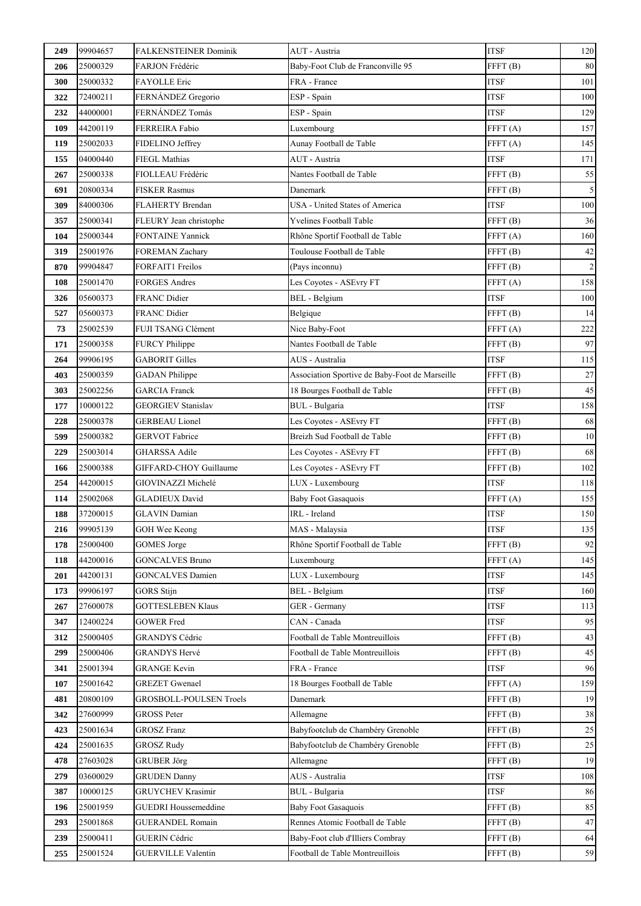| 249 | 99904657 | <b>FALKENSTEINER Dominik</b>   | AUT - Austria                                  | <b>ITSF</b>         | 120            |
|-----|----------|--------------------------------|------------------------------------------------|---------------------|----------------|
| 206 | 25000329 | FARJON Frédéric                | Baby-Foot Club de Franconville 95              | FFFT <sub>(B)</sub> | 80             |
| 300 | 25000332 | FAYOLLE Eric                   | FRA - France                                   | <b>ITSF</b>         | 101            |
| 322 | 72400211 | FERNÁNDEZ Gregorio             | ESP - Spain                                    | <b>ITSF</b>         | 100            |
| 232 | 44000001 | FERNÁNDEZ Tomás                | ESP - Spain                                    | <b>ITSF</b>         | 129            |
| 109 | 44200119 | <b>FERREIRA Fabio</b>          | Luxembourg                                     | FFT(A)              | 157            |
| 119 | 25002033 | FIDELINO Jeffrey               | Aunay Football de Table                        | FFFT(A)             | 145            |
| 155 | 04000440 | <b>FIEGL Mathias</b>           | AUT - Austria                                  | <b>ITSF</b>         | 171            |
| 267 | 25000338 | FIOLLEAU Frédéric              | Nantes Football de Table                       | FFFT <sub>(B)</sub> | 55             |
| 691 | 20800334 | <b>FISKER Rasmus</b>           | Danemark                                       | FFT(B)              | $\sqrt{5}$     |
| 309 | 84000306 | FLAHERTY Brendan               | USA - United States of America                 | <b>ITSF</b>         | 100            |
| 357 | 25000341 | FLEURY Jean christophe         | Yvelines Football Table                        | FFFT(B)             | 36             |
| 104 | 25000344 | <b>FONTAINE Yannick</b>        | Rhône Sportif Football de Table                | FFFT <sub>(A)</sub> | 160            |
| 319 | 25001976 | FOREMAN Zachary                | Toulouse Football de Table                     | FFFT <sub>(B)</sub> | $42\,$         |
| 870 | 99904847 | FORFAIT1 Freilos               | (Pays inconnu)                                 | FFFT <sub>(B)</sub> | $\overline{2}$ |
| 108 | 25001470 | <b>FORGES Andres</b>           | Les Coyotes - ASEvry FT                        | FFFT(A)             | 158            |
| 326 | 05600373 | <b>FRANC Didier</b>            | BEL - Belgium                                  | <b>ITSF</b>         | 100            |
| 527 | 05600373 | <b>FRANC Didier</b>            | Belgique                                       | FFFT <sub>(B)</sub> | 14             |
| 73  | 25002539 | FUJI TSANG Clément             | Nice Baby-Foot                                 | FFFT(A)             | 222            |
| 171 | 25000358 | <b>FURCY Philippe</b>          | Nantes Football de Table                       | FFFT <sub>(B)</sub> | 97             |
| 264 | 99906195 | <b>GABORIT Gilles</b>          | AUS - Australia                                | <b>ITSF</b>         | 115            |
| 403 | 25000359 | <b>GADAN</b> Philippe          | Association Sportive de Baby-Foot de Marseille | FFFT <sub>(B)</sub> | 27             |
| 303 | 25002256 | <b>GARCIA</b> Franck           | 18 Bourges Football de Table                   | FFFT <sub>(B)</sub> | 45             |
| 177 | 10000122 | <b>GEORGIEV Stanislav</b>      | <b>BUL</b> - Bulgaria                          | <b>ITSF</b>         | 158            |
| 228 | 25000378 | <b>GERBEAU Lionel</b>          | Les Coyotes - ASEvry FT                        | FFT(B)              | 68             |
| 599 | 25000382 | <b>GERVOT Fabrice</b>          | Breizh Sud Football de Table                   | FFFT <sub>(B)</sub> | 10             |
| 229 | 25003014 | <b>GHARSSA Adile</b>           | Les Coyotes - ASEvry FT                        | FFFT <sub>(B)</sub> | 68             |
| 166 | 25000388 | GIFFARD-CHOY Guillaume         | Les Coyotes - ASEvry FT                        | FFFT <sub>(B)</sub> | $102\,$        |
| 254 | 44200015 | GIOVINAZZI Michelé             | LUX - Luxembourg                               | <b>ITSF</b>         | 118            |
| 114 | 25002068 | <b>GLADIEUX David</b>          | <b>Baby Foot Gasaquois</b>                     | FFFT(A)             | 155            |
| 188 | 37200015 | <b>GLAVIN</b> Damian           | IRL - Ireland                                  | <b>ITSF</b>         | 150            |
| 216 | 99905139 | GOH Wee Keong                  | MAS - Malaysia                                 | <b>ITSF</b>         | 135            |
| 178 | 25000400 | <b>GOMES</b> Jorge             | Rhône Sportif Football de Table                | FFFT <sub>(B)</sub> | 92             |
| 118 | 44200016 | <b>GONCALVES Bruno</b>         | Luxembourg                                     | FFFT(A)             | 145            |
| 201 | 44200131 | <b>GONCALVES Damien</b>        | LUX - Luxembourg                               | <b>ITSF</b>         | 145            |
| 173 | 99906197 | <b>GORS</b> Stijn              | BEL - Belgium                                  | <b>ITSF</b>         | 160            |
| 267 | 27600078 | <b>GOTTESLEBEN Klaus</b>       | GER - Germany                                  | <b>ITSF</b>         | 113            |
| 347 | 12400224 | <b>GOWER Fred</b>              | CAN - Canada                                   | <b>ITSF</b>         | 95             |
| 312 | 25000405 | <b>GRANDYS Cédric</b>          | Football de Table Montreuillois                | FFFT(B)             | 43             |
| 299 | 25000406 | <b>GRANDYS Hervé</b>           | Football de Table Montreuillois                | FFFT(B)             | 45             |
| 341 | 25001394 | <b>GRANGE Kevin</b>            | FRA - France                                   | <b>ITSF</b>         | 96             |
| 107 | 25001642 | <b>GREZET</b> Gwenael          | 18 Bourges Football de Table                   | FFFT(A)             | 159            |
| 481 | 20800109 | <b>GROSBOLL-POULSEN Troels</b> | Danemark                                       | FFT(B)              | 19             |
| 342 | 27600999 | <b>GROSS Peter</b>             | Allemagne                                      | FFT(B)              | 38             |
| 423 | 25001634 | <b>GROSZ Franz</b>             | Babyfootclub de Chambéry Grenoble              | FFFT <sub>(B)</sub> | 25             |
| 424 | 25001635 | <b>GROSZ Rudy</b>              | Babyfootclub de Chambéry Grenoble              | FFFT <sub>(B)</sub> | 25             |
| 478 | 27603028 | <b>GRUBER Jörg</b>             | Allemagne                                      | FFFT <sub>(B)</sub> | 19             |
| 279 | 03600029 | <b>GRUDEN</b> Danny            | AUS - Australia                                | <b>ITSF</b>         | 108            |
| 387 | 10000125 | <b>GRUYCHEV Krasimir</b>       | <b>BUL</b> - Bulgaria                          | <b>ITSF</b>         | 86             |
| 196 | 25001959 | <b>GUEDRI Houssemeddine</b>    | <b>Baby Foot Gasaquois</b>                     | FFFT <sub>(B)</sub> | 85             |
| 293 | 25001868 | <b>GUERANDEL Romain</b>        | Rennes Atomic Football de Table                | FFFT <sub>(B)</sub> | $47\,$         |
| 239 | 25000411 | <b>GUERIN Cédric</b>           | Baby-Foot club d'Illiers Combray               | FFFT <sub>(B)</sub> | 64             |
| 255 | 25001524 | <b>GUERVILLE Valentin</b>      | Football de Table Montreuillois                | FFFT(B)             | 59             |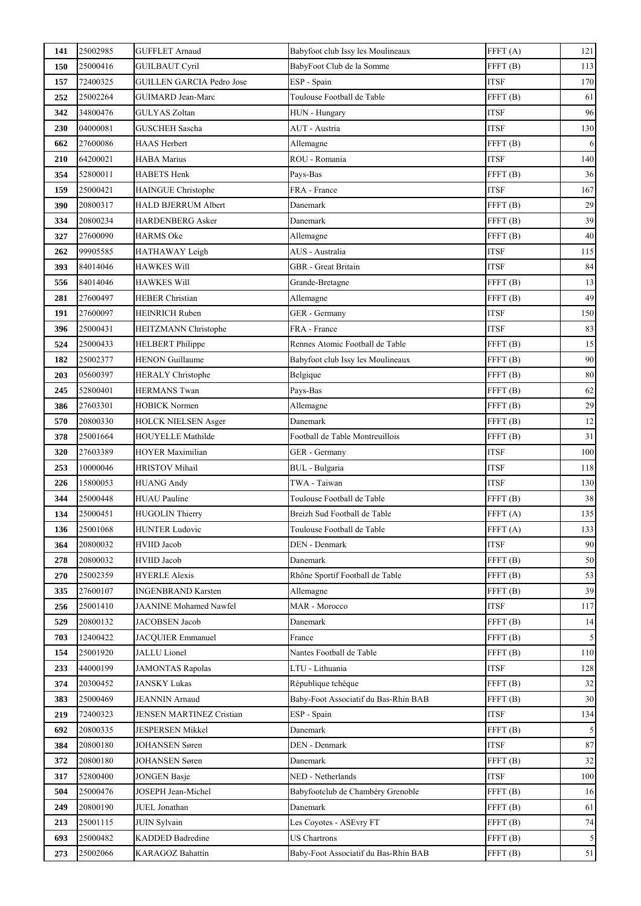| 141 | 25002985 | <b>GUFFLET Arnaud</b>            | Babyfoot club Issy les Moulineaux    | FFFT(A)             | 121        |
|-----|----------|----------------------------------|--------------------------------------|---------------------|------------|
| 150 | 25000416 | <b>GUILBAUT Cyril</b>            | BabyFoot Club de la Somme            | FFFT <sub>(B)</sub> | 113        |
| 157 | 72400325 | <b>GUILLEN GARCIA Pedro Jose</b> | ESP - Spain                          | <b>ITSF</b>         | 170        |
| 252 | 25002264 | GUIMARD Jean-Marc                | Toulouse Football de Table           | FFFT(B)             | 61         |
| 342 | 34800476 | <b>GULYAS Zoltan</b>             | HUN - Hungary                        | <b>ITSF</b>         | 96         |
| 230 | 04000081 | <b>GUSCHEH Sascha</b>            | AUT - Austria                        | <b>ITSF</b>         | 130        |
| 662 | 27600086 | <b>HAAS Herbert</b>              | Allemagne                            | FFT(B)              | 6          |
| 210 | 64200021 | <b>HABA Marius</b>               | ROU - Romania                        | <b>ITSF</b>         | 140        |
| 354 | 52800011 | <b>HABETS Henk</b>               | Pays-Bas                             | FFFT <sub>(B)</sub> | 36         |
| 159 | 25000421 | HAINGUE Christophe               | FRA - France                         | <b>ITSF</b>         | 167        |
| 390 | 20800317 | <b>HALD BJERRUM Albert</b>       | Danemark                             | FFT(B)              | 29         |
| 334 | 20800234 | HARDENBERG Asker                 | Danemark                             | FFT(B)              | 39         |
| 327 | 27600090 | <b>HARMS</b> Oke                 | Allemagne                            | FFFT <sub>(B)</sub> | 40         |
| 262 | 99905585 | HATHAWAY Leigh                   | AUS - Australia                      | <b>ITSF</b>         | 115        |
| 393 | 84014046 | <b>HAWKES Will</b>               | GBR - Great Britain                  | <b>ITSF</b>         | $\bf 84$   |
| 556 | 84014046 | HAWKES Will                      | Grande-Bretagne                      | FFT(B)              | 13         |
| 281 | 27600497 | HEBER Christian                  | Allemagne                            | FFFT(B)             | 49         |
| 191 | 27600097 | <b>HEINRICH Ruben</b>            | GER - Germany                        | <b>ITSF</b>         | 150        |
| 396 | 25000431 | HEITZMANN Christophe             | FRA - France                         | <b>ITSF</b>         | 83         |
| 524 | 25000433 | <b>HELBERT</b> Philippe          | Rennes Atomic Football de Table      | FFFT <sub>(B)</sub> | 15         |
| 182 | 25002377 | <b>HENON Guillaume</b>           | Babyfoot club Issy les Moulineaux    | FFFT(B)             | 90         |
| 203 | 05600397 | <b>HERALY Christophe</b>         | Belgique                             | FFFT <sub>(B)</sub> | 80         |
| 245 | 52800401 | <b>HERMANS Twan</b>              | Pays-Bas                             | FFFT <sub>(B)</sub> | 62         |
| 386 | 27603301 | HOBICK Normen                    | Allemagne                            | FFFT(B)             | 29         |
| 570 | 20800330 | <b>HOLCK NIELSEN Asger</b>       | Danemark                             | FFT(B)              | 12         |
| 378 | 25001664 | HOUYELLE Mathilde                | Football de Table Montreuillois      | FFFT(B)             | 31         |
| 320 | 27603389 | <b>HOYER Maximilian</b>          | GER - Germany                        | <b>ITSF</b>         | 100        |
| 253 | 10000046 | <b>HRISTOV Mihail</b>            | <b>BUL</b> - Bulgaria                | <b>ITSF</b>         | 118        |
| 226 | 15800053 | <b>HUANG Andy</b>                | TWA - Taiwan                         | <b>ITSF</b>         | 130        |
| 344 | 25000448 | <b>HUAU Pauline</b>              | Toulouse Football de Table           | FFT(B)              | 38         |
| 134 | 25000451 | <b>HUGOLIN Thierry</b>           | Breizh Sud Football de Table         | FFFT <sub>(A)</sub> | 135        |
| 136 | 25001068 | <b>HUNTER Ludovic</b>            | Toulouse Football de Table           | FFFT(A)             | 133        |
| 364 | 20800032 | <b>HVIID Jacob</b>               | <b>DEN</b> - Denmark                 | <b>ITSF</b>         | 90         |
| 278 | 20800032 | <b>HVIID Jacob</b>               | Danemark                             | FFFT <sub>(B)</sub> | 50         |
| 270 | 25002359 | <b>HYERLE Alexis</b>             | Rhône Sportif Football de Table      | FFT(B)              | 53         |
| 335 | 27600107 | <b>INGENBRAND Karsten</b>        | Allemagne                            | FFFT <sub>(B)</sub> | 39         |
| 256 | 25001410 | <b>JAANINE Mohamed Nawfel</b>    | MAR - Morocco                        | <b>ITSF</b>         | 117        |
| 529 | 20800132 | JACOBSEN Jacob                   | Danemark                             | FFFT <sub>(B)</sub> | 14         |
| 703 | 12400422 | JACQUIER Emmanuel                | France                               | FFFT <sub>(B)</sub> | 5          |
| 154 | 25001920 | JALLU Lionel                     | Nantes Football de Table             | FFT(B)              | 110        |
| 233 | 44000199 | JAMONTAS Rapolas                 | LTU - Lithuania                      | <b>ITSF</b>         | 128        |
| 374 | 20300452 | <b>JANSKY Lukas</b>              | République tchèque                   | FFFT <sub>(B)</sub> | 32         |
| 383 | 25000469 | <b>JEANNIN</b> Arnaud            | Baby-Foot Associatif du Bas-Rhin BAB | FFT(B)              | 30         |
| 219 | 72400323 | <b>JENSEN MARTINEZ Cristian</b>  | ESP - Spain                          | <b>ITSF</b>         | 134        |
| 692 | 20800335 | <b>JESPERSEN Mikkel</b>          | Danemark                             | FFFT <sub>(B)</sub> | 5          |
| 384 | 20800180 | JOHANSEN Søren                   | DEN - Denmark                        | <b>ITSF</b>         | $87\,$     |
| 372 | 20800180 | <b>JOHANSEN Søren</b>            | Danemark                             | FFFT(B)             | 32         |
| 317 | 52800400 | <b>JONGEN Basje</b>              | NED - Netherlands                    | <b>ITSF</b>         | 100        |
| 504 | 25000476 | JOSEPH Jean-Michel               | Babyfootclub de Chambéry Grenoble    | FFT(B)              | 16         |
| 249 | 20800190 | JUEL Jonathan                    | Danemark                             | FFT(B)              | 61         |
| 213 | 25001115 | <b>JUIN Sylvain</b>              | Les Coyotes - ASEvry FT              | FFFT <sub>(B)</sub> | 74         |
| 693 | 25000482 | <b>KADDED Badredine</b>          | <b>US Chartrons</b>                  | FFFT <sub>(B)</sub> | $\sqrt{5}$ |
| 273 | 25002066 | KARAGOZ Bahattin                 | Baby-Foot Associatif du Bas-Rhin BAB | FFFT(B)             | 51         |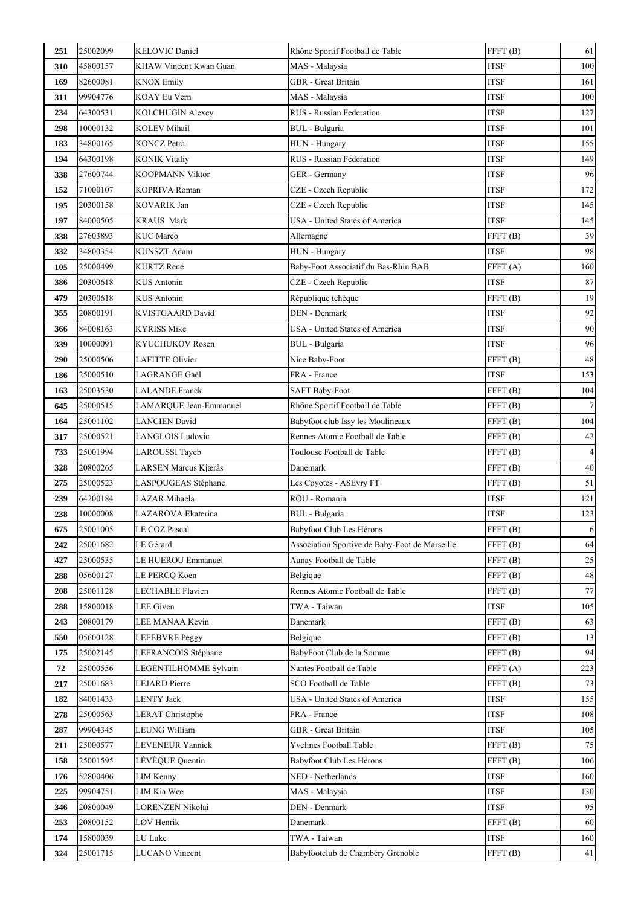| 251 | 25002099 | <b>KELOVIC Daniel</b>     | Rhône Sportif Football de Table                | FFFT(B)             | 61               |
|-----|----------|---------------------------|------------------------------------------------|---------------------|------------------|
| 310 | 45800157 | KHAW Vincent Kwan Guan    | MAS - Malaysia                                 | <b>ITSF</b>         | 100              |
| 169 | 82600081 | <b>KNOX Emily</b>         | <b>GBR</b> - Great Britain                     | <b>ITSF</b>         | 161              |
| 311 | 99904776 | KOAY Eu Vern              | MAS - Malaysia                                 | <b>ITSF</b>         | 100              |
| 234 | 64300531 | KOLCHUGIN Alexey          | RUS - Russian Federation                       | <b>ITSF</b>         | 127              |
| 298 | 10000132 | <b>KOLEV Mihail</b>       | <b>BUL</b> - Bulgaria                          | <b>ITSF</b>         | 101              |
| 183 | 34800165 | <b>KONCZ</b> Petra        | HUN - Hungary                                  | <b>ITSF</b>         | 155              |
| 194 | 64300198 | <b>KONIK Vitaliy</b>      | RUS - Russian Federation                       | <b>ITSF</b>         | 149              |
| 338 | 27600744 | KOOPMANN Viktor           | GER - Germany                                  | <b>ITSF</b>         | 96               |
| 152 | 71000107 | KOPRIVA Roman             | CZE - Czech Republic                           | <b>ITSF</b>         | 172              |
| 195 | 20300158 | <b>KOVARIK Jan</b>        | CZE - Czech Republic                           | <b>ITSF</b>         | 145              |
| 197 | 84000505 | <b>KRAUS Mark</b>         | USA - United States of America                 | <b>ITSF</b>         | 145              |
| 338 | 27603893 | <b>KUC</b> Marco          | Allemagne                                      | FFFT <sub>(B)</sub> | 39               |
| 332 | 34800354 | KUNSZT Adam               | HUN - Hungary                                  | <b>ITSF</b>         | 98               |
| 105 | 25000499 | <b>KURTZ René</b>         | Baby-Foot Associatif du Bas-Rhin BAB           | FFFT(A)             | 160              |
| 386 | 20300618 | <b>KUS</b> Antonin        | CZE - Czech Republic                           | <b>ITSF</b>         | 87               |
| 479 | 20300618 | KUS Antonin               | République tchèque                             | FFT(B)              | 19               |
| 355 | 20800191 | KVISTGAARD David          | DEN - Denmark                                  | <b>ITSF</b>         | 92               |
| 366 | 84008163 | <b>KYRISS Mike</b>        | USA - United States of America                 | <b>ITSF</b>         | 90               |
| 339 | 10000091 | KYUCHUKOV Rosen           | BUL - Bulgaria                                 | <b>ITSF</b>         | 96               |
| 290 | 25000506 | <b>LAFITTE Olivier</b>    | Nice Baby-Foot                                 | FFT(B)              | 48               |
| 186 | 25000510 | LAGRANGE Gaël             | FRA - France                                   | <b>ITSF</b>         | 153              |
| 163 | 25003530 | <b>LALANDE Franck</b>     | <b>SAFT Baby-Foot</b>                          | FFFT <sub>(B)</sub> | 104              |
| 645 | 25000515 | LAMARQUE Jean-Emmanuel    | Rhône Sportif Football de Table                | FFFT <sub>(B)</sub> | $\boldsymbol{7}$ |
| 164 | 25001102 | <b>LANCIEN David</b>      | Babyfoot club Issy les Moulineaux              | FFFT <sub>(B)</sub> | 104              |
| 317 | 25000521 | LANGLOIS Ludovic          | Rennes Atomic Football de Table                | FFFT <sub>(B)</sub> | 42               |
| 733 | 25001994 | LAROUSSI Tayeb            | Toulouse Football de Table                     | FFFT <sub>(B)</sub> | $\overline{4}$   |
| 328 | 20800265 | LARSEN Marcus Kjærås      | Danemark                                       | FFFT <sub>(B)</sub> | 40               |
| 275 | 25000523 | LASPOUGEAS Stéphane       | Les Coyotes - ASEvry FT                        | FFFT <sub>(B)</sub> | 51               |
| 239 | 64200184 | LAZAR Mihaela             | ROU - Romania                                  | <b>ITSF</b>         | 121              |
| 238 | 10000008 | LAZAROVA Ekaterina        | <b>BUL</b> - Bulgaria                          | <b>ITSF</b>         | 123              |
| 675 | 25001005 | LE COZ Pascal             | Babyfoot Club Les Hérons                       | FFFT(B)             | $\mathbf{6}$     |
| 242 | 25001682 | LE Gérard                 | Association Sportive de Baby-Foot de Marseille | FFFT <sub>(B)</sub> | 64               |
| 427 | 25000535 | <b>LE HUEROU Emmanuel</b> | Aunay Football de Table                        | FFFT <sub>(B)</sub> | $25\,$           |
| 288 | 05600127 | LE PERCQ Koen             | Belgique                                       | FFT(B)              | 48               |
| 208 | 25001128 | LECHABLE Flavien          | Rennes Atomic Football de Table                | FFFT <sub>(B)</sub> | 77               |
| 288 | 15800018 | LEE Given                 | TWA - Taiwan                                   | <b>ITSF</b>         | 105              |
| 243 | 20800179 | LEE MANAA Kevin           | Danemark                                       | FFT(B)              | 63               |
| 550 | 05600128 | <b>LEFEBVRE Peggy</b>     | Belgique                                       | FFFT(B)             | 13               |
| 175 | 25002145 | LEFRANCOIS Stéphane       | BabyFoot Club de la Somme                      | FFFT(B)             | 94               |
| 72  | 25000556 | LEGENTILHOMME Sylvain     | Nantes Football de Table                       | FFFT(A)             | 223              |
| 217 | 25001683 | <b>LEJARD</b> Pierre      | SCO Football de Table                          | FFFT(B)             | 73               |
| 182 | 84001433 | <b>LENTY Jack</b>         | USA - United States of America                 | <b>ITSF</b>         | 155              |
| 278 | 25000563 | <b>LERAT Christophe</b>   | FRA - France                                   | <b>ITSF</b>         | 108              |
| 287 | 99904345 | LEUNG William             | GBR - Great Britain                            | <b>ITSF</b>         | 105              |
| 211 | 25000577 | LEVENEUR Yannick          | Yvelines Football Table                        | FFFT <sub>(B)</sub> | 75               |
| 158 | 25001595 | LÉVÈQUE Quentin           | Babyfoot Club Les Hérons                       | FFFT(B)             | 106              |
| 176 | 52800406 | <b>LIM Kenny</b>          | NED - Netherlands                              | <b>ITSF</b>         | 160              |
| 225 | 99904751 | LIM Kia Wee               | MAS - Malaysia                                 | <b>ITSF</b>         | 130              |
| 346 | 20800049 | LORENZEN Nikolai          | DEN - Denmark                                  | <b>ITSF</b>         | 95               |
| 253 | 20800152 | LØV Henrik                | Danemark                                       | FFFT(B)             | 60               |
| 174 | 15800039 | LU Luke                   | TWA - Taiwan                                   | <b>ITSF</b>         | 160              |
| 324 | 25001715 | <b>LUCANO</b> Vincent     | Babyfootclub de Chambéry Grenoble              | FFFT <sub>(B)</sub> | 41               |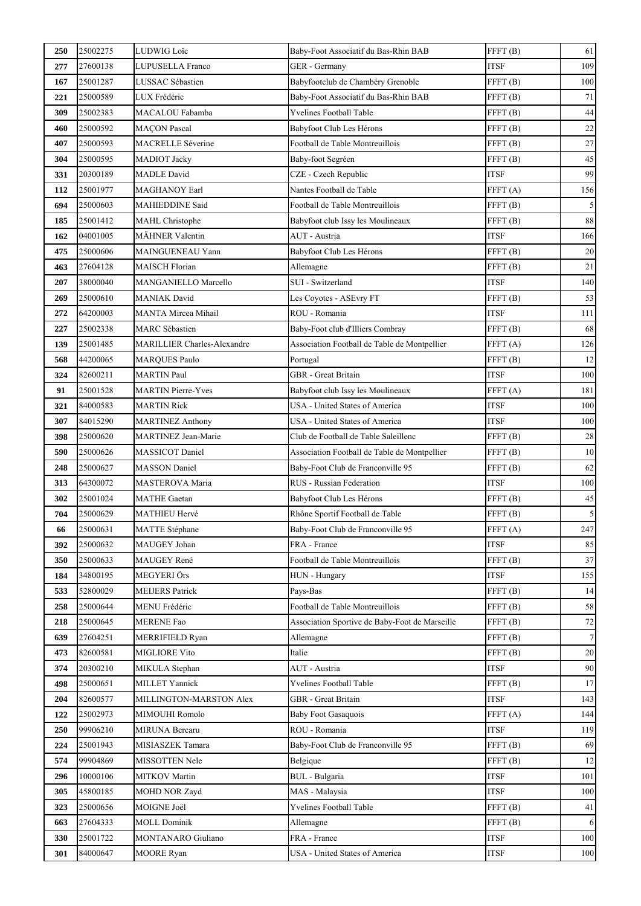| 250 | 25002275 | <b>LUDWIG Loïc</b>                 | Baby-Foot Associatif du Bas-Rhin BAB           | FFFT <sub>(B)</sub> | 61             |
|-----|----------|------------------------------------|------------------------------------------------|---------------------|----------------|
| 277 | 27600138 | LUPUSELLA Franco                   | GER - Germany                                  | <b>ITSF</b>         | 109            |
| 167 | 25001287 | LUSSAC Sébastien                   | Babyfootclub de Chambéry Grenoble              | FFFT <sub>(B)</sub> | 100            |
| 221 | 25000589 | LUX Frédéric                       | Baby-Foot Associatif du Bas-Rhin BAB           | FFFT(B)             | 71             |
| 309 | 25002383 | MACALOU Fabamba                    | Yvelines Football Table                        | FFFT <sub>(B)</sub> | $\bf 44$       |
| 460 | 25000592 | <b>MAÇON</b> Pascal                | Babyfoot Club Les Hérons                       | FFFT <sub>(B)</sub> | $22\,$         |
| 407 | 25000593 | <b>MACRELLE Séverine</b>           | Football de Table Montreuillois                | FFFT <sub>(B)</sub> | $27\,$         |
| 304 | 25000595 | <b>MADIOT</b> Jacky                | Baby-foot Segréen                              | FFFT <sub>(B)</sub> | 45             |
| 331 | 20300189 | <b>MADLE</b> David                 | CZE - Czech Republic                           | <b>ITSF</b>         | 99             |
| 112 | 25001977 | <b>MAGHANOY Earl</b>               | Nantes Football de Table                       | FFFT(A)             | 156            |
| 694 | 25000603 | <b>MAHIEDDINE Said</b>             | Football de Table Montreuillois                | FFFT(B)             | $\sqrt{5}$     |
| 185 | 25001412 | <b>MAHL</b> Christophe             | Babyfoot club Issy les Moulineaux              | FFFT <sub>(B)</sub> | $\bf 88$       |
| 162 | 04001005 | <b>MÄHNER Valentin</b>             | AUT - Austria                                  | <b>ITSF</b>         | 166            |
| 475 | 25000606 | MAINGUENEAU Yann                   | Babyfoot Club Les Hérons                       | FFFT <sub>(B)</sub> | $20\,$         |
| 463 | 27604128 | <b>MAISCH Florian</b>              | Allemagne                                      | FFFT <sub>(B)</sub> | $21\,$         |
| 207 | 38000040 | MANGANIELLO Marcello               | SUI - Switzerland                              | <b>ITSF</b>         | 140            |
| 269 | 25000610 | <b>MANIAK David</b>                | Les Coyotes - ASEvry FT                        | FFFT <sub>(B)</sub> | 53             |
| 272 | 64200003 | <b>MANTA Mircea Mihail</b>         | ROU - Romania                                  | <b>ITSF</b>         | 111            |
| 227 | 25002338 | <b>MARC</b> Sébastien              | Baby-Foot club d'Illiers Combray               | FFFT <sub>(B)</sub> | 68             |
| 139 | 25001485 | <b>MARILLIER Charles-Alexandre</b> | Association Football de Table de Montpellier   | FFT(A)              | 126            |
| 568 | 44200065 | <b>MARQUES Paulo</b>               | Portugal                                       | FFFT(B)             | 12             |
| 324 | 82600211 | <b>MARTIN</b> Paul                 | GBR - Great Britain                            | <b>ITSF</b>         | 100            |
| 91  | 25001528 | <b>MARTIN Pierre-Yves</b>          | Babyfoot club Issy les Moulineaux              | FFFT <sub>(A)</sub> | 181            |
| 321 | 84000583 | <b>MARTIN Rick</b>                 | USA - United States of America                 | <b>ITSF</b>         | 100            |
| 307 | 84015290 | <b>MARTINEZ Anthony</b>            | USA - United States of America                 | <b>ITSF</b>         | 100            |
| 398 | 25000620 | MARTINEZ Jean-Marie                | Club de Football de Table Saleillenc           | FFFT <sub>(B)</sub> | $28\,$         |
| 590 | 25000626 | <b>MASSICOT Daniel</b>             | Association Football de Table de Montpellier   | FFFT (B)            | 10             |
| 248 | 25000627 | <b>MASSON</b> Daniel               | Baby-Foot Club de Franconville 95              | FFFT <sub>(B)</sub> | 62             |
| 313 | 64300072 | MASTEROVA Maria                    | RUS - Russian Federation                       | <b>ITSF</b>         | 100            |
| 302 | 25001024 | <b>MATHE Gaetan</b>                | Babyfoot Club Les Hérons                       | FFT(B)              | $45\,$         |
| 704 | 25000629 | <b>MATHIEU Hervé</b>               | Rhône Sportif Football de Table                | FFT(B)              | $\mathfrak s$  |
| 66  | 25000631 | MATTE Stéphane                     | Baby-Foot Club de Franconville 95              | FFT(A)              | 247            |
| 392 | 25000632 | MAUGEY Johan                       | FRA - France                                   | <b>ITSF</b>         | 85             |
| 350 | 25000633 | MAUGEY René                        | Football de Table Montreuillois                | FFFT(B)             | 37             |
| 184 | 34800195 | MEGYERI Örs                        | HUN - Hungary                                  | <b>ITSF</b>         | 155            |
| 533 | 52800029 | <b>MEIJERS Patrick</b>             | Pays-Bas                                       | FFFT <sub>(B)</sub> | 14             |
| 258 | 25000644 | MENU Frédéric                      | Football de Table Montreuillois                | FFT(B)              | 58             |
| 218 | 25000645 | <b>MERENE</b> Fao                  | Association Sportive de Baby-Foot de Marseille | FFT(B)              | $72\,$         |
| 639 | 27604251 | <b>MERRIFIELD Ryan</b>             | Allemagne                                      | FFFT(B)             | $\overline{7}$ |
| 473 | 82600581 | <b>MIGLIORE Vito</b>               | Italie                                         | FFFT(B)             | 20             |
| 374 | 20300210 | MIKULA Stephan                     | AUT - Austria                                  | <b>ITSF</b>         | 90             |
| 498 | 25000651 | <b>MILLET Yannick</b>              | Yvelines Football Table                        | FFT(B)              | 17             |
| 204 | 82600577 | MILLINGTON-MARSTON Alex            | GBR - Great Britain                            | <b>ITSF</b>         | 143            |
| 122 | 25002973 | MIMOUHI Romolo                     | <b>Baby Foot Gasaquois</b>                     | FFFT(A)             | 144            |
| 250 | 99906210 | <b>MIRUNA Bercaru</b>              | ROU - Romania                                  | <b>ITSF</b>         | 119            |
| 224 | 25001943 | MISIASZEK Tamara                   | Baby-Foot Club de Franconville 95              | FFFT <sub>(B)</sub> | 69             |
| 574 | 99904869 | MISSOTTEN Nele                     | Belgique                                       | FFFT(B)             | 12             |
| 296 | 10000106 | <b>MITKOV</b> Martin               | BUL - Bulgaria                                 | <b>ITSF</b>         | 101            |
| 305 | 45800185 | <b>MOHD NOR Zayd</b>               | MAS - Malaysia                                 | <b>ITSF</b>         | 100            |
| 323 | 25000656 | MOIGNE Joël                        | <b>Yvelines Football Table</b>                 | FFT(B)              | 41             |
| 663 | 27604333 | <b>MOLL Dominik</b>                | Allemagne                                      | FFFT <sub>(B)</sub> | 6              |
| 330 | 25001722 | MONTANARO Giuliano                 | FRA - France                                   | <b>ITSF</b>         | 100            |
| 301 | 84000647 | <b>MOORE</b> Ryan                  | USA - United States of America                 | <b>ITSF</b>         | 100            |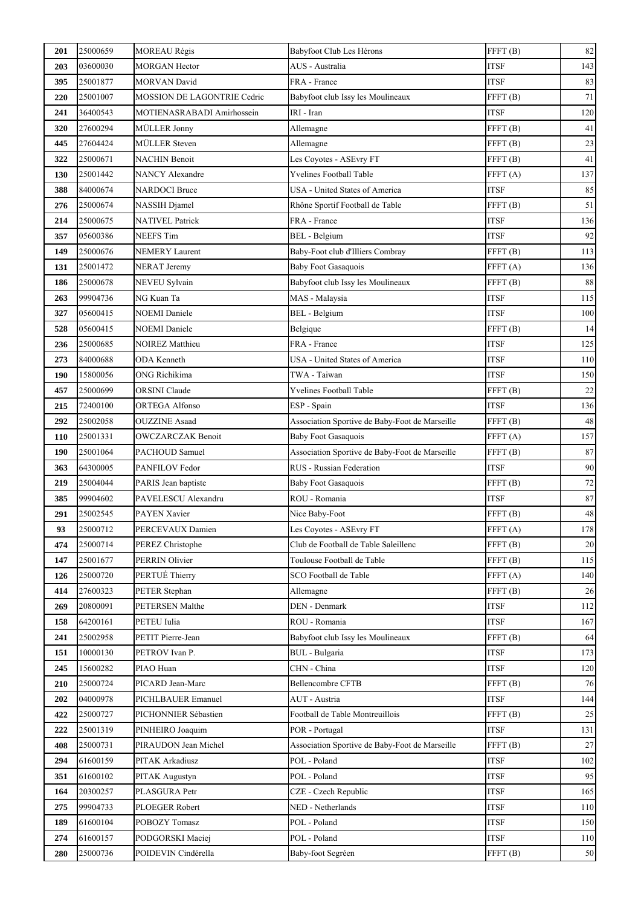| 201 | 25000659 | <b>MOREAU Régis</b>         | Babyfoot Club Les Hérons                       | FFFT <sub>(B)</sub> | 82       |
|-----|----------|-----------------------------|------------------------------------------------|---------------------|----------|
| 203 | 03600030 | <b>MORGAN Hector</b>        | AUS - Australia                                | <b>ITSF</b>         | 143      |
| 395 | 25001877 | <b>MORVAN David</b>         | FRA - France                                   | <b>ITSF</b>         | 83       |
| 220 | 25001007 | MOSSION DE LAGONTRIE Cedric | Babyfoot club Issy les Moulineaux              | FFFT(B)             | 71       |
| 241 | 36400543 | MOTIENASRABADI Amirhossein  | IRI - Iran                                     | <b>ITSF</b>         | 120      |
| 320 | 27600294 | MÜLLER Jonny                | Allemagne                                      | FFFT <sub>(B)</sub> | 41       |
| 445 | 27604424 | <b>MÜLLER</b> Steven        | Allemagne                                      | FFFT <sub>(B)</sub> | $23\,$   |
| 322 | 25000671 | <b>NACHIN Benoit</b>        | Les Coyotes - ASEvry FT                        | FFFT <sub>(B)</sub> | 41       |
| 130 | 25001442 | <b>NANCY Alexandre</b>      | <b>Yvelines Football Table</b>                 | FFFT(A)             | 137      |
| 388 | 84000674 | <b>NARDOCI</b> Bruce        | USA - United States of America                 | <b>ITSF</b>         | 85       |
| 276 | 25000674 | NASSIH Djamel               | Rhône Sportif Football de Table                | FFFT(B)             | 51       |
| 214 | 25000675 | <b>NATIVEL Patrick</b>      | FRA - France                                   | <b>ITSF</b>         | 136      |
| 357 | 05600386 | <b>NEEFS</b> Tim            | <b>BEL</b> - Belgium                           | <b>ITSF</b>         | 92       |
| 149 | 25000676 | <b>NEMERY Laurent</b>       | Baby-Foot club d'Illiers Combray               | FFFT(B)             | 113      |
| 131 | 25001472 | <b>NERAT Jeremy</b>         | <b>Baby Foot Gasaquois</b>                     | FFFT(A)             | 136      |
| 186 | 25000678 | NEVEU Sylvain               | Babyfoot club Issy les Moulineaux              | FFFT(B)             | 88       |
| 263 | 99904736 | NG Kuan Ta                  | MAS - Malaysia                                 | <b>ITSF</b>         | 115      |
| 327 | 05600415 | <b>NOEMI</b> Daniele        | BEL - Belgium                                  | <b>ITSF</b>         | 100      |
| 528 | 05600415 | <b>NOEMI</b> Daniele        | Belgique                                       | FFFT <sub>(B)</sub> | 14       |
| 236 | 25000685 | <b>NOIREZ Matthieu</b>      | FRA - France                                   | <b>ITSF</b>         | 125      |
| 273 | 84000688 | ODA Kenneth                 | USA - United States of America                 | <b>ITSF</b>         | 110      |
| 190 | 15800056 | ONG Richikima               | TWA - Taiwan                                   | <b>ITSF</b>         | 150      |
| 457 | 25000699 | <b>ORSINI</b> Claude        | Yvelines Football Table                        | FFFT <sub>(B)</sub> | $22\,$   |
| 215 | 72400100 | ORTEGA Alfonso              | ESP - Spain                                    | <b>ITSF</b>         | 136      |
| 292 | 25002058 | <b>OUZZINE Asaad</b>        | Association Sportive de Baby-Foot de Marseille | FFFT(B)             | 48       |
| 110 | 25001331 | <b>OWCZARCZAK Benoit</b>    | <b>Baby Foot Gasaquois</b>                     | FFFT(A)             | 157      |
| 190 | 25001064 | PACHOUD Samuel              | Association Sportive de Baby-Foot de Marseille | FFFT <sub>(B)</sub> | 87       |
| 363 | 64300005 | PANFILOV Fedor              | RUS - Russian Federation                       | <b>ITSF</b>         | 90       |
| 219 | 25004044 | PARIS Jean baptiste         | <b>Baby Foot Gasaquois</b>                     | FFFT <sub>(B)</sub> | $72\,$   |
| 385 | 99904602 | PAVELESCU Alexandru         | ROU - Romania                                  | <b>ITSF</b>         | $\bf 87$ |
| 291 | 25002545 | PAYEN Xavier                | Nice Baby-Foot                                 | FFFT <sub>(B)</sub> | 48       |
| 93  | 25000712 | PERCEVAUX Damien            | Les Coyotes - ASEvry FT                        | FFFT (A)            | 178      |
| 474 | 25000714 | PEREZ Christophe            | Club de Football de Table Saleillenc           | FFFT <sub>(B)</sub> | 20       |
| 147 | 25001677 | PERRIN Olivier              | Toulouse Football de Table                     | FFT(B)              | 115      |
| 126 | 25000720 | PERTUÉ Thierry              | SCO Football de Table                          | FFFT(A)             | 140      |
| 414 | 27600323 | PETER Stephan               | Allemagne                                      | FFFT(B)             | 26       |
| 269 | 20800091 | PETERSEN Malthe             | DEN - Denmark                                  | <b>ITSF</b>         | 112      |
| 158 | 64200161 | PETEU Iulia                 | ROU - Romania                                  | <b>ITSF</b>         | 167      |
| 241 | 25002958 | PETIT Pierre-Jean           | Babyfoot club Issy les Moulineaux              | FFFT(B)             | 64       |
| 151 | 10000130 | PETROV Ivan P.              | <b>BUL</b> - Bulgaria                          | <b>ITSF</b>         | 173      |
| 245 | 15600282 | PIAO Huan                   | CHN - China                                    | <b>ITSF</b>         | 120      |
| 210 | 25000724 | PICARD Jean-Marc            | <b>Bellencombre CFTB</b>                       | FFT(B)              | 76       |
| 202 | 04000978 | PICHLBAUER Emanuel          | AUT - Austria                                  | <b>ITSF</b>         | 144      |
| 422 | 25000727 | PICHONNIER Sébastien        | Football de Table Montreuillois                | FFFT <sub>(B)</sub> | 25       |
| 222 | 25001319 | PINHEIRO Joaquim            | POR - Portugal                                 | <b>ITSF</b>         | 131      |
| 408 | 25000731 | PIRAUDON Jean Michel        | Association Sportive de Baby-Foot de Marseille | FFFT <sub>(B)</sub> | $27\,$   |
| 294 | 61600159 | PITAK Arkadiusz             | POL - Poland                                   | <b>ITSF</b>         | 102      |
| 351 | 61600102 | PITAK Augustyn              | POL - Poland                                   | <b>ITSF</b>         | 95       |
| 164 | 20300257 | PLASGURA Petr               | CZE - Czech Republic                           | <b>ITSF</b>         | 165      |
| 275 | 99904733 | PLOEGER Robert              | NED - Netherlands                              | <b>ITSF</b>         | 110      |
| 189 | 61600104 | POBOZY Tomasz               | POL - Poland                                   | <b>ITSF</b>         | 150      |
| 274 | 61600157 | PODGORSKI Maciej            | POL - Poland                                   | <b>ITSF</b>         | 110      |
| 280 | 25000736 | POIDEVIN Cindérella         | Baby-foot Segréen                              | FFFT <sub>(B)</sub> | 50       |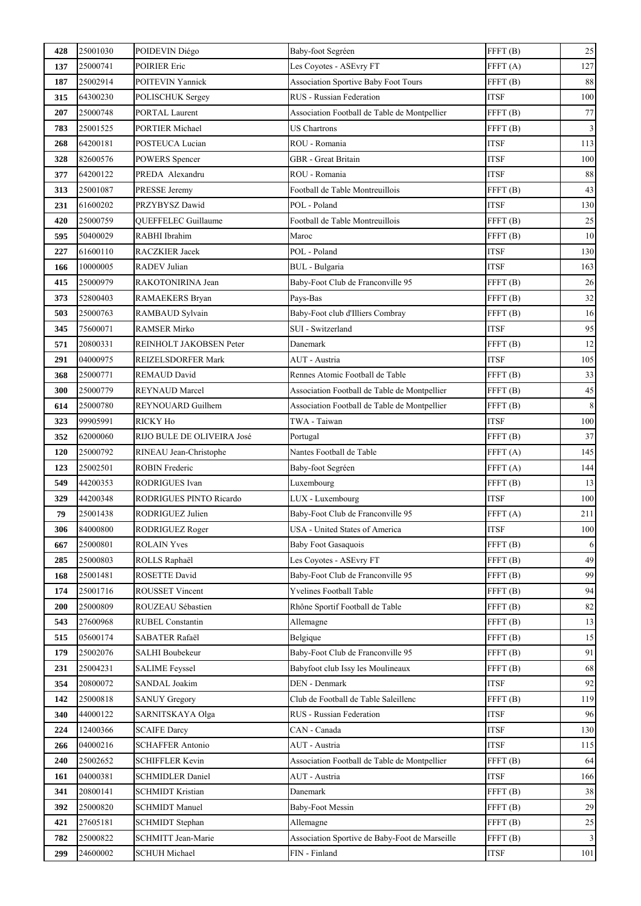| 428 | 25001030 | POIDEVIN Diégo             | Baby-foot Segréen                              | FFFT <sub>(B)</sub> | $25\,$                  |
|-----|----------|----------------------------|------------------------------------------------|---------------------|-------------------------|
| 137 | 25000741 | <b>POIRIER Eric</b>        | Les Coyotes - ASEvry FT                        | FFFT(A)             | 127                     |
| 187 | 25002914 | POITEVIN Yannick           | <b>Association Sportive Baby Foot Tours</b>    | FFFT <sub>(B)</sub> | $88\,$                  |
| 315 | 64300230 | POLISCHUK Sergey           | RUS - Russian Federation                       | <b>ITSF</b>         | 100                     |
| 207 | 25000748 | PORTAL Laurent             | Association Football de Table de Montpellier   | FFFT(B)             | $77\,$                  |
| 783 | 25001525 | PORTIER Michael            | <b>US Chartrons</b>                            | FFFT(B)             | $\mathfrak{Z}$          |
| 268 | 64200181 | POSTEUCA Lucian            | ROU - Romania                                  | <b>ITSF</b>         | 113                     |
| 328 | 82600576 | POWERS Spencer             | GBR - Great Britain                            | <b>ITSF</b>         | 100                     |
| 377 | 64200122 | PREDA Alexandru            | ROU - Romania                                  | <b>ITSF</b>         | 88                      |
| 313 | 25001087 | PRESSE Jeremy              | Football de Table Montreuillois                | FFFT <sub>(B)</sub> | 43                      |
| 231 | 61600202 | PRZYBYSZ Dawid             | POL - Poland                                   | <b>ITSF</b>         | 130                     |
| 420 | 25000759 | QUEFFELEC Guillaume        | Football de Table Montreuillois                | FFFT <sub>(B)</sub> | $25\,$                  |
| 595 | 50400029 | RABHI Ibrahim              | Maroc                                          | FFFT <sub>(B)</sub> | 10                      |
| 227 | 61600110 | RACZKIER Jacek             | POL - Poland                                   | <b>ITSF</b>         | 130                     |
| 166 | 10000005 | <b>RADEV</b> Julian        | <b>BUL</b> - Bulgaria                          | <b>ITSF</b>         | 163                     |
| 415 | 25000979 | RAKOTONIRINA Jean          | Baby-Foot Club de Franconville 95              | FFFT(B)             | 26                      |
| 373 | 52800403 | RAMAEKERS Bryan            | Pays-Bas                                       | FFFT <sub>(B)</sub> | $32\,$                  |
| 503 | 25000763 | RAMBAUD Sylvain            | Baby-Foot club d'Illiers Combray               | FFT(B)              | 16                      |
| 345 | 75600071 | RAMSER Mirko               | <b>SUI</b> - Switzerland                       | <b>ITSF</b>         | 95                      |
| 571 | 20800331 | REINHOLT JAKOBSEN Peter    | Danemark                                       | FFFT <sub>(B)</sub> | 12                      |
| 291 | 04000975 | REIZELSDORFER Mark         | AUT - Austria                                  | <b>ITSF</b>         | 105                     |
| 368 | 25000771 | REMAUD David               | Rennes Atomic Football de Table                | FFFT(B)             | 33                      |
| 300 | 25000779 | REYNAUD Marcel             | Association Football de Table de Montpellier   | FFFT(B)             | 45                      |
| 614 | 25000780 | REYNOUARD Guilhem          | Association Football de Table de Montpellier   | FFFT <sub>(B)</sub> | $\,$ 8 $\,$             |
| 323 | 99905991 | RICKY Ho                   | TWA - Taiwan                                   | <b>ITSF</b>         | 100                     |
| 352 | 62000060 | RIJO BULE DE OLIVEIRA José | Portugal                                       | FFFT(B)             | 37                      |
| 120 | 25000792 | RINEAU Jean-Christophe     | Nantes Football de Table                       | FFFT(A)             | 145                     |
| 123 | 25002501 | <b>ROBIN Frederic</b>      | Baby-foot Segréen                              | FFT(A)              | 144                     |
| 549 | 44200353 | RODRIGUES Ivan             | Luxembourg                                     | FFFT <sub>(B)</sub> | 13                      |
| 329 | 44200348 | RODRIGUES PINTO Ricardo    | LUX - Luxembourg                               | <b>ITSF</b>         | 100                     |
| 79  | 25001438 | RODRIGUEZ Julien           | Baby-Foot Club de Franconville 95              | FFFT(A)             | 211                     |
| 306 | 84000800 | RODRIGUEZ Roger            | USA - United States of America                 | <b>ITSF</b>         | 100                     |
| 667 | 25000801 | <b>ROLAIN Yves</b>         | <b>Baby Foot Gasaquois</b>                     | FFFT(B)             | 6                       |
| 285 | 25000803 | ROLLS Raphaël              | Les Coyotes - ASEvry FT                        | FFFT(B)             | 49                      |
| 168 | 25001481 | ROSETTE David              | Baby-Foot Club de Franconville 95              | FFFT(B)             | 99                      |
| 174 | 25001716 | <b>ROUSSET Vincent</b>     | <b>Yvelines Football Table</b>                 | FFFT(B)             | 94                      |
| 200 | 25000809 | ROUZEAU Sébastien          | Rhône Sportif Football de Table                | FFT(B)              | 82                      |
| 543 | 27600968 | <b>RUBEL Constantin</b>    | Allemagne                                      | FFFT(B)             | 13                      |
| 515 | 05600174 | SABATER Rafaël             | Belgique                                       | FFT(B)              | 15                      |
| 179 | 25002076 | <b>SALHI Boubekeur</b>     | Baby-Foot Club de Franconville 95              | FFFT(B)             | 91                      |
| 231 | 25004231 | <b>SALIME Feyssel</b>      | Babyfoot club Issy les Moulineaux              | FFT(B)              | 68                      |
| 354 | 20800072 | SANDAL Joakim              | DEN - Denmark                                  | <b>ITSF</b>         | 92                      |
| 142 | 25000818 | <b>SANUY Gregory</b>       | Club de Football de Table Saleillenc           | FFT(B)              | 119                     |
| 340 | 44000122 | SARNITSKAYA Olga           | RUS - Russian Federation                       | <b>ITSF</b>         | 96                      |
| 224 | 12400366 | <b>SCAIFE Darcy</b>        | CAN - Canada                                   | <b>ITSF</b>         | 130                     |
| 266 | 04000216 | <b>SCHAFFER Antonio</b>    | AUT - Austria                                  | <b>ITSF</b>         | 115                     |
| 240 | 25002652 | SCHIFFLER Kevin            | Association Football de Table de Montpellier   | FFFT <sub>(B)</sub> | 64                      |
| 161 | 04000381 | <b>SCHMIDLER Daniel</b>    | AUT - Austria                                  | <b>ITSF</b>         | 166                     |
| 341 | 20800141 | <b>SCHMIDT Kristian</b>    | Danemark                                       | FFT(B)              | 38                      |
| 392 | 25000820 | <b>SCHMIDT Manuel</b>      | <b>Baby-Foot Messin</b>                        | FFT(B)              | 29                      |
| 421 | 27605181 | <b>SCHMIDT</b> Stephan     | Allemagne                                      | FFT(B)              | $25\,$                  |
| 782 | 25000822 | <b>SCHMITT Jean-Marie</b>  | Association Sportive de Baby-Foot de Marseille | FFFT <sub>(B)</sub> | $\overline{\mathbf{3}}$ |
| 299 | 24600002 | <b>SCHUH Michael</b>       | FIN - Finland                                  | <b>ITSF</b>         | $101\,$                 |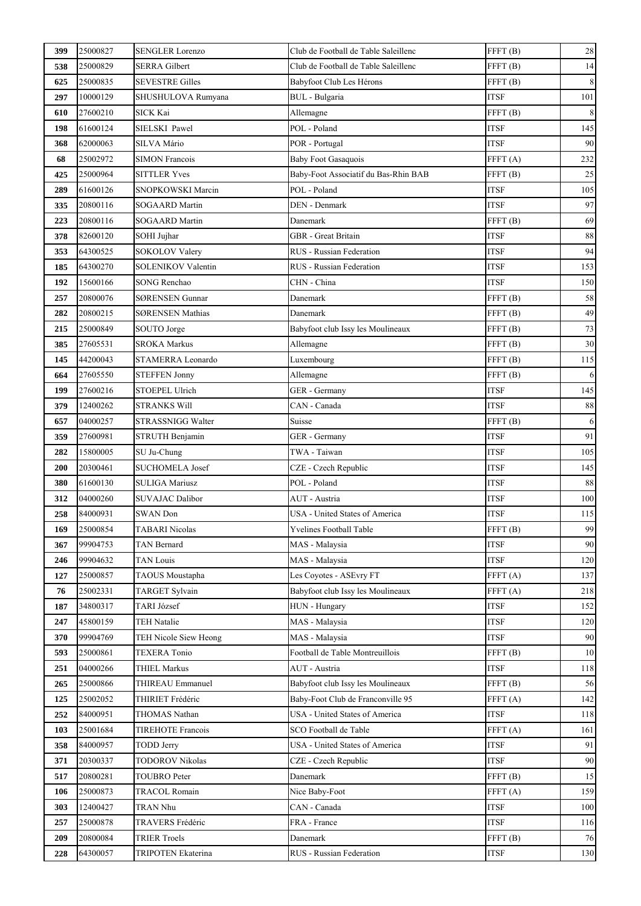| 399 | 25000827 | <b>SENGLER Lorenzo</b>    | Club de Football de Table Saleillenc | FFFT(B)             | 28          |
|-----|----------|---------------------------|--------------------------------------|---------------------|-------------|
| 538 | 25000829 | <b>SERRA Gilbert</b>      | Club de Football de Table Saleillenc | FFT(B)              | 14          |
| 625 | 25000835 | <b>SEVESTRE Gilles</b>    | Babyfoot Club Les Hérons             | FFT(B)              | $\,8\,$     |
| 297 | 10000129 | SHUSHULOVA Rumyana        | BUL - Bulgaria                       | <b>ITSF</b>         | 101         |
| 610 | 27600210 | <b>SICK Kai</b>           | Allemagne                            | FFFT <sub>(B)</sub> | $\,$ 8 $\,$ |
| 198 | 61600124 | SIELSKI Pawel             | POL - Poland                         | <b>ITSF</b>         | 145         |
| 368 | 62000063 | SILVA Mário               | POR - Portugal                       | <b>ITSF</b>         | 90          |
| 68  | 25002972 | <b>SIMON Francois</b>     | <b>Baby Foot Gasaquois</b>           | FFFT(A)             | 232         |
| 425 | 25000964 | <b>SITTLER Yves</b>       | Baby-Foot Associatif du Bas-Rhin BAB | FFT(B)              | 25          |
| 289 | 61600126 | SNOPKOWSKI Marcin         | POL - Poland                         | <b>ITSF</b>         | 105         |
| 335 | 20800116 | <b>SOGAARD Martin</b>     | <b>DEN</b> - Denmark                 | <b>ITSF</b>         | 97          |
| 223 | 20800116 | SOGAARD Martin            | Danemark                             | FFT(B)              | 69          |
| 378 | 82600120 | SOHI Jujhar               | GBR - Great Britain                  | <b>ITSF</b>         | 88          |
| 353 | 64300525 | SOKOLOV Valery            | <b>RUS</b> - Russian Federation      | <b>ITSF</b>         | 94          |
| 185 | 64300270 | <b>SOLENIKOV Valentin</b> | <b>RUS</b> - Russian Federation      | <b>ITSF</b>         | 153         |
| 192 | 15600166 | <b>SONG Renchao</b>       | CHN - China                          | <b>ITSF</b>         | 150         |
| 257 | 20800076 | SØRENSEN Gunnar           | Danemark                             | FFFT (B)            | 58          |
| 282 | 20800215 | <b>SØRENSEN Mathias</b>   | Danemark                             | FFFT <sub>(B)</sub> | 49          |
| 215 | 25000849 | SOUTO Jorge               | Babyfoot club Issy les Moulineaux    | FFFT <sub>(B)</sub> | 73          |
| 385 | 27605531 | <b>SROKA Markus</b>       | Allemagne                            | FFFT <sub>(B)</sub> | 30          |
| 145 | 44200043 | STAMERRA Leonardo         | Luxembourg                           | FFFT(B)             | 115         |
| 664 | 27605550 | <b>STEFFEN Jonny</b>      | Allemagne                            | FFFT <sub>(B)</sub> | 6           |
| 199 | 27600216 | <b>STOEPEL Ulrich</b>     | GER - Germany                        | <b>ITSF</b>         | 145         |
| 379 | 12400262 | <b>STRANKS Will</b>       | CAN - Canada                         | <b>ITSF</b>         | 88          |
| 657 | 04000257 | STRASSNIGG Walter         | Suisse                               | FFT(B)              | $\sqrt{6}$  |
| 359 | 27600981 | STRUTH Benjamin           | GER - Germany                        | <b>ITSF</b>         | 91          |
| 282 | 15800005 | SU Ju-Chung               | TWA - Taiwan                         | ITSF                | 105         |
| 200 | 20300461 | <b>SUCHOMELA Josef</b>    | CZE - Czech Republic                 | <b>ITSF</b>         | 145         |
| 380 | 61600130 | <b>SULIGA Mariusz</b>     | POL - Poland                         | <b>ITSF</b>         | 88          |
| 312 | 04000260 | <b>SUVAJAC Dalibor</b>    | AUT - Austria                        | <b>ITSF</b>         | 100         |
| 258 | 84000931 | <b>SWAN</b> Don           | USA - United States of America       | <b>ITSF</b>         | 115         |
| 169 | 25000854 | <b>TABARI</b> Nicolas     | Yvelines Football Table              | FFFT <sub>(B)</sub> | 99          |
| 367 | 99904753 | <b>TAN Bernard</b>        | MAS - Malaysia                       | <b>ITSF</b>         | 90          |
| 246 | 99904632 | <b>TAN Louis</b>          | MAS - Malaysia                       | <b>ITSF</b>         | 120         |
| 127 | 25000857 | TAOUS Moustapha           | Les Coyotes - ASEvry FT              | FFFT(A)             | 137         |
| 76  | 25002331 | <b>TARGET Sylvain</b>     | Babyfoot club Issy les Moulineaux    | FFFT(A)             | 218         |
| 187 | 34800317 | TARI József               | HUN - Hungary                        | <b>ITSF</b>         | 152         |
| 247 | 45800159 | <b>TEH Natalie</b>        | MAS - Malaysia                       | <b>ITSF</b>         | 120         |
| 370 | 99904769 | TEH Nicole Siew Heong     | MAS - Malaysia                       | <b>ITSF</b>         | 90          |
| 593 | 25000861 | <b>TEXERA Tonio</b>       | Football de Table Montreuillois      | FFFT(B)             | 10          |
| 251 | 04000266 | <b>THIEL Markus</b>       | AUT - Austria                        | <b>ITSF</b>         | 118         |
| 265 | 25000866 | THIREAU Emmanuel          | Babyfoot club Issy les Moulineaux    | FFFT(B)             | 56          |
| 125 | 25002052 | THIRIET Frédéric          | Baby-Foot Club de Franconville 95    | FFT(A)              | 142         |
| 252 | 84000951 | THOMAS Nathan             | USA - United States of America       | <b>ITSF</b>         | 118         |
| 103 | 25001684 | <b>TIREHOTE Francois</b>  | SCO Football de Table                | FFFT(A)             | 161         |
| 358 | 84000957 | <b>TODD Jerry</b>         | USA - United States of America       | <b>ITSF</b>         | 91          |
| 371 | 20300337 | <b>TODOROV Nikolas</b>    | CZE - Czech Republic                 | <b>ITSF</b>         | 90          |
| 517 | 20800281 | <b>TOUBRO</b> Peter       | Danemark                             | FFT(B)              | 15          |
| 106 | 25000873 | <b>TRACOL Romain</b>      | Nice Baby-Foot                       | FFT(A)              | 159         |
| 303 | 12400427 | TRAN Nhu                  | CAN - Canada                         | <b>ITSF</b>         | 100         |
| 257 | 25000878 | TRAVERS Frédéric          | FRA - France                         | <b>ITSF</b>         | 116         |
| 209 | 20800084 | <b>TRIER Troels</b>       | Danemark                             | FFFT(B)             | 76          |
| 228 | 64300057 | <b>TRIPOTEN Ekaterina</b> | RUS - Russian Federation             | <b>ITSF</b>         | 130         |